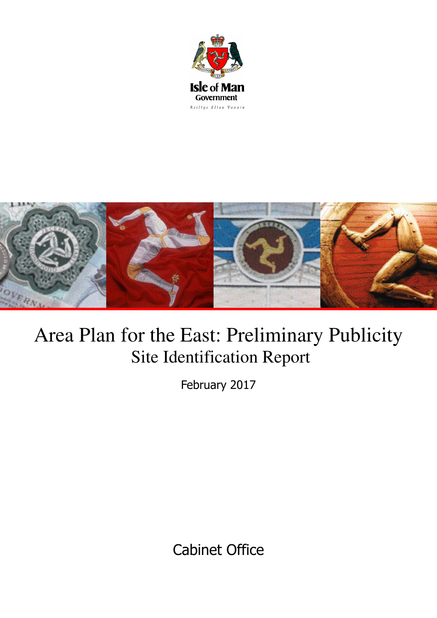



# Area Plan for the East: Preliminary Publicity Site Identification Report

February 2017

Cabinet Office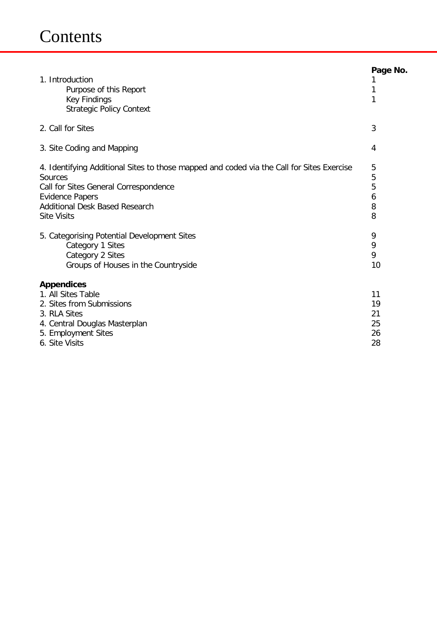| 1. Introduction<br>Purpose of this Report<br><b>Key Findings</b><br><b>Strategic Policy Context</b>                                                                                                                                                                                                                                                                  | Page No.<br>T<br>1<br>1                         |
|----------------------------------------------------------------------------------------------------------------------------------------------------------------------------------------------------------------------------------------------------------------------------------------------------------------------------------------------------------------------|-------------------------------------------------|
| 2. Call for Sites                                                                                                                                                                                                                                                                                                                                                    | 3                                               |
| 3. Site Coding and Mapping                                                                                                                                                                                                                                                                                                                                           | 4                                               |
| 4. Identifying Additional Sites to those mapped and coded via the Call for Sites Exercise<br>Sources<br>Call for Sites General Correspondence<br><b>Evidence Papers</b><br><b>Additional Desk Based Research</b><br><b>Site Visits</b><br>5. Categorising Potential Development Sites<br>Category 1 Sites<br>Category 2 Sites<br>Groups of Houses in the Countryside | 5<br>5<br>5<br>6<br>8<br>8<br>9<br>9<br>9<br>10 |
| <b>Appendices</b><br>1. All Sites Table<br>2. Sites from Submissions<br>3. RLA Sites<br>4. Central Douglas Masterplan<br>5. Employment Sites<br>6. Site Visits                                                                                                                                                                                                       | 11<br>19<br>21<br>25<br>26<br>28                |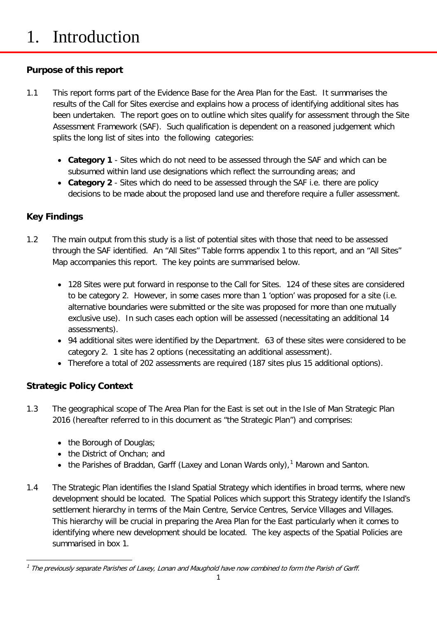# 1. Introduction

### **Purpose of this report**

- 1.1 This report forms part of the Evidence Base for the Area Plan for the East. It summarises the results of the Call for Sites exercise and explains how a process of identifying additional sites has been undertaken. The report goes on to outline which sites qualify for assessment through the Site Assessment Framework (SAF). Such qualification is dependent on a reasoned judgement which splits the long list of sites into the following categories:
	- **Category 1** Sites which do not need to be assessed through the SAF and which can be subsumed within land use designations which reflect the surrounding areas; and
	- **Category 2**  Sites which do need to be assessed through the SAF i.e. there are policy decisions to be made about the proposed land use and therefore require a fuller assessment.

### **Key Findings**

- 1.2 The main output from this study is a list of potential sites with those that need to be assessed through the SAF identified. An "All Sites" Table forms appendix 1 to this report, and an "All Sites" Map accompanies this report. The key points are summarised below.
	- 128 Sites were put forward in response to the Call for Sites. 124 of these sites are considered to be category 2. However, in some cases more than 1 'option' was proposed for a site (i.e. alternative boundaries were submitted or the site was proposed for more than one mutually exclusive use). In such cases each option will be assessed (necessitating an additional 14 assessments).
	- 94 additional sites were identified by the Department. 63 of these sites were considered to be category 2. 1 site has 2 options (necessitating an additional assessment).
	- Therefore a total of 202 assessments are required (187 sites plus 15 additional options).

### **Strategic Policy Context**

- 1.3 The geographical scope of The Area Plan for the East is set out in the Isle of Man Strategic Plan 2016 (hereafter referred to in this document as "the Strategic Plan") and comprises:
	- the Borough of Douglas:
	- the District of Onchan; and
	- the Parishes of Braddan, Garff (Laxey and Lonan Wards only),<sup>[1](#page-2-0)</sup> Marown and Santon.
- 1.4 The Strategic Plan identifies the Island Spatial Strategy which identifies in broad terms, where new development should be located. The Spatial Polices which support this Strategy identify the Island's settlement hierarchy in terms of the Main Centre, Service Centres, Service Villages and Villages. This hierarchy will be crucial in preparing the Area Plan for the East particularly when it comes to identifying where new development should be located. The key aspects of the Spatial Policies are summarised in box 1.

<span id="page-2-0"></span> $1$  The previously separate Parishes of Laxey, Lonan and Maughold have now combined to form the Parish of Garff.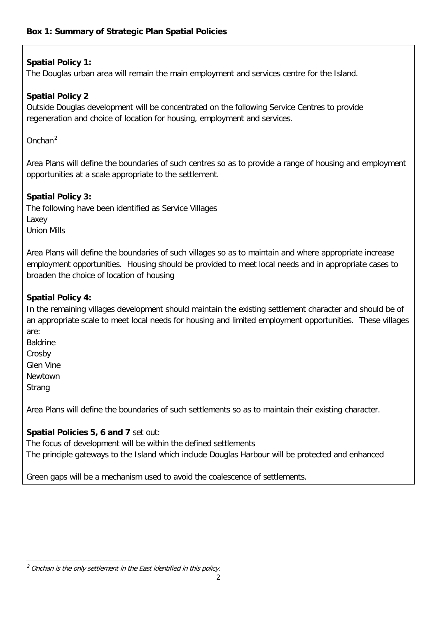#### **Spatial Policy 1:**

The Douglas urban area will remain the main employment and services centre for the Island.

#### **Spatial Policy 2**

Outside Douglas development will be concentrated on the following Service Centres to provide regeneration and choice of location for housing, employment and services.

Onchan[2](#page-3-0)

Area Plans will define the boundaries of such centres so as to provide a range of housing and employment opportunities at a scale appropriate to the settlement.

#### **Spatial Policy 3:**

The following have been identified as Service Villages Laxey Union Mills

Area Plans will define the boundaries of such villages so as to maintain and where appropriate increase employment opportunities. Housing should be provided to meet local needs and in appropriate cases to broaden the choice of location of housing

#### **Spatial Policy 4:**

In the remaining villages development should maintain the existing settlement character and should be of an appropriate scale to meet local needs for housing and limited employment opportunities. These villages are:

Baldrine **Crosby** Glen Vine Newtown **Strang** 

Area Plans will define the boundaries of such settlements so as to maintain their existing character.

#### **Spatial Policies 5, 6 and 7** set out:

The focus of development will be within the defined settlements The principle gateways to the Island which include Douglas Harbour will be protected and enhanced

Green gaps will be a mechanism used to avoid the coalescence of settlements.

<span id="page-3-0"></span>**<sup>.</sup>**  $<sup>2</sup>$  Onchan is the only settlement in the East identified in this policy.</sup>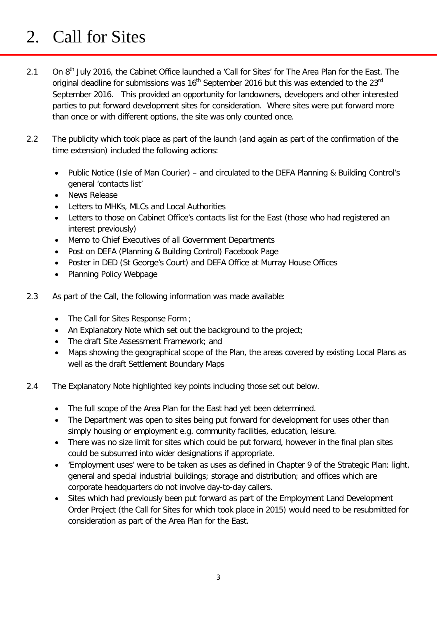## 2. Call for Sites

- 2.1 On 8<sup>th</sup> July 2016, the Cabinet Office launched a 'Call for Sites' for The Area Plan for the East. The original deadline for submissions was  $16<sup>th</sup>$  September 2016 but this was extended to the 23 $<sup>rd</sup>$ </sup> September 2016. This provided an opportunity for landowners, developers and other interested parties to put forward development sites for consideration. Where sites were put forward more than once or with different options, the site was only counted once.
- 2.2 The publicity which took place as part of the launch (and again as part of the confirmation of the time extension) included the following actions:
	- Public Notice (Isle of Man Courier) and circulated to the DEFA Planning & Building Control's general 'contacts list'
	- News Release
	- Letters to MHKs, MLCs and Local Authorities
	- Letters to those on Cabinet Office's contacts list for the East (those who had registered an interest previously)
	- Memo to Chief Executives of all Government Departments
	- Post on DEFA (Planning & Building Control) Facebook Page
	- Poster in DED (St George's Court) and DEFA Office at Murray House Offices
	- Planning Policy Webpage
- 2.3 As part of the Call, the following information was made available:
	- The Call for Sites Response Form ;
	- An Explanatory Note which set out the background to the project;
	- The draft Site Assessment Framework; and
	- Maps showing the geographical scope of the Plan, the areas covered by existing Local Plans as well as the draft Settlement Boundary Maps
- 2.4 The Explanatory Note highlighted key points including those set out below.
	- The full scope of the Area Plan for the East had yet been determined.
	- The Department was open to sites being put forward for development for uses other than simply housing or employment e.g. community facilities, education, leisure.
	- There was no size limit for sites which could be put forward, however in the final plan sites could be subsumed into wider designations if appropriate.
	- 'Employment uses' were to be taken as uses as defined in Chapter 9 of the Strategic Plan: light, general and special industrial buildings; storage and distribution; and offices which are corporate headquarters do not involve day-to-day callers.
	- Sites which had previously been put forward as part of the Employment Land Development Order Project (the Call for Sites for which took place in 2015) would need to be resubmitted for consideration as part of the Area Plan for the East.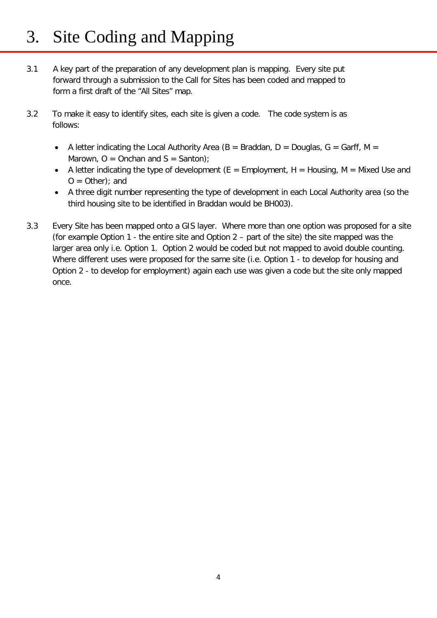# 3. Site Coding and Mapping

- 3.1 A key part of the preparation of any development plan is mapping. Every site put forward through a submission to the Call for Sites has been coded and mapped to form a first draft of the "All Sites" map.
- 3.2 To make it easy to identify sites, each site is given a code. The code system is as follows:
	- A letter indicating the Local Authority Area ( $B =$  Braddan,  $D =$  Douglas,  $G =$  Garff, M = Marown,  $O =$  Onchan and  $S =$  Santon);
	- A letter indicating the type of development ( $E = Employment$ ,  $H = Housing$ ,  $M = Mixed Use and$  $O = Other$ ; and
	- A three digit number representing the type of development in each Local Authority area (so the third housing site to be identified in Braddan would be BH003).
- 3.3 Every Site has been mapped onto a GIS layer. Where more than one option was proposed for a site (for example Option 1 - the entire site and Option 2 – part of the site) the site mapped was the larger area only i.e. Option 1. Option 2 would be coded but not mapped to avoid double counting. Where different uses were proposed for the same site (i.e. Option 1 - to develop for housing and Option 2 - to develop for employment) again each use was given a code but the site only mapped once.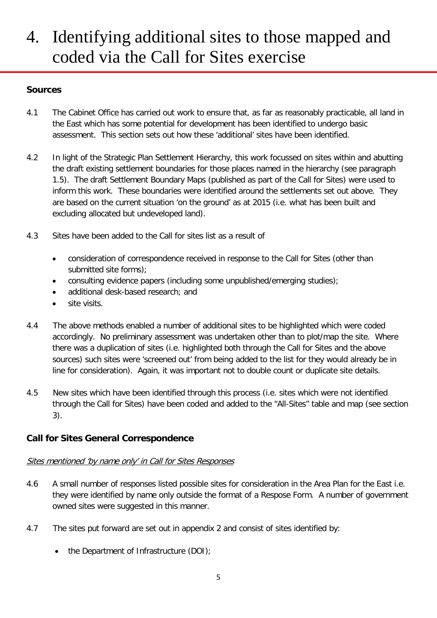## 4. Identifying additional sites to those mapped and coded via the Call for Sites exercise

#### **Sources**

- 4.1 The Cabinet Office has carried out work to ensure that, as far as reasonably practicable, all land in the East which has some potential for development has been identified to undergo basic assessment. This section sets out how these 'additional' sites have been identified.
- 4.2 In light of the Strategic Plan Settlement Hierarchy, this work focussed on sites within and abutting the draft existing settlement boundaries for those places named in the hierarchy (see paragraph 1.5). The draft Settlement Boundary Maps (published as part of the Call for Sites) were used to inform this work. These boundaries were identified around the settlements set out above. They are based on the current situation 'on the ground' as at 2015 (i.e. what has been built and excluding allocated but undeveloped land).
- 4.3 Sites have been added to the Call for sites list as a result of
	- consideration of correspondence received in response to the Call for Sites (other than submitted site forms);
	- consulting evidence papers (including some unpublished/emerging studies);
	- additional desk-based research; and
	- site visits.
- 4.4 The above methods enabled a number of additional sites to be highlighted which were coded accordingly. No preliminary assessment was undertaken other than to plot/map the site. Where there was a duplication of sites (i.e. highlighted both through the Call for Sites and the above sources) such sites were 'screened out' from being added to the list for they would already be in line for consideration). Again, it was important not to double count or duplicate site details.
- 4.5 New sites which have been identified through this process (i.e. sites which were not identified through the Call for Sites) have been coded and added to the "All-Sites" table and map (see section 3).

#### **Call for Sites General Correspondence**

#### Sites mentioned 'by name only' in Call for Sites Responses

- 4.6 A small number of responses listed possible sites for consideration in the Area Plan for the East i.e. they were identified by name only outside the format of a Respose Form. A number of government owned sites were suggested in this manner.
- 4.7 The sites put forward are set out in appendix 2 and consist of sites identified by:
	- the Department of Infrastructure (DOI):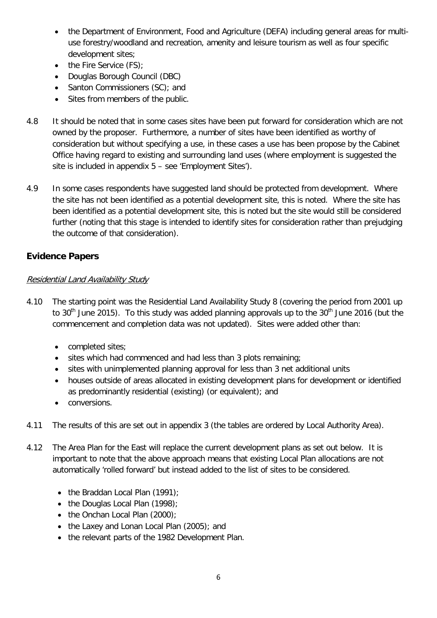- the Department of Environment, Food and Agriculture (DEFA) including general areas for multiuse forestry/woodland and recreation, amenity and leisure tourism as well as four specific development sites;
- the Fire Service (FS);
- Douglas Borough Council (DBC)
- Santon Commissioners (SC); and
- Sites from members of the public.
- 4.8 It should be noted that in some cases sites have been put forward for consideration which are not owned by the proposer. Furthermore, a number of sites have been identified as worthy of consideration but without specifying a use, in these cases a use has been propose by the Cabinet Office having regard to existing and surrounding land uses (where employment is suggested the site is included in appendix 5 – see 'Employment Sites').
- 4.9 In some cases respondents have suggested land should be protected from development. Where the site has not been identified as a potential development site, this is noted. Where the site has been identified as a potential development site, this is noted but the site would still be considered further (noting that this stage is intended to identify sites for consideration rather than prejudging the outcome of that consideration).

#### **Evidence Papers**

#### Residential Land Availability Study

- 4.10 The starting point was the Residential Land Availability Study 8 (covering the period from 2001 up to 30<sup>th</sup> June 2015). To this study was added planning approvals up to the 30<sup>th</sup> June 2016 (but the commencement and completion data was not updated). Sites were added other than:
	- completed sites;
	- sites which had commenced and had less than 3 plots remaining;
	- sites with unimplemented planning approval for less than 3 net additional units
	- houses outside of areas allocated in existing development plans for development or identified as predominantly residential (existing) (or equivalent); and
	- conversions.
- 4.11 The results of this are set out in appendix 3 (the tables are ordered by Local Authority Area).
- 4.12 The Area Plan for the East will replace the current development plans as set out below. It is important to note that the above approach means that existing Local Plan allocations are not automatically 'rolled forward' but instead added to the list of sites to be considered.
	- the Braddan Local Plan (1991);
	- the Douglas Local Plan (1998);
	- the Onchan Local Plan (2000);
	- the Laxey and Lonan Local Plan (2005); and
	- the relevant parts of the 1982 Development Plan.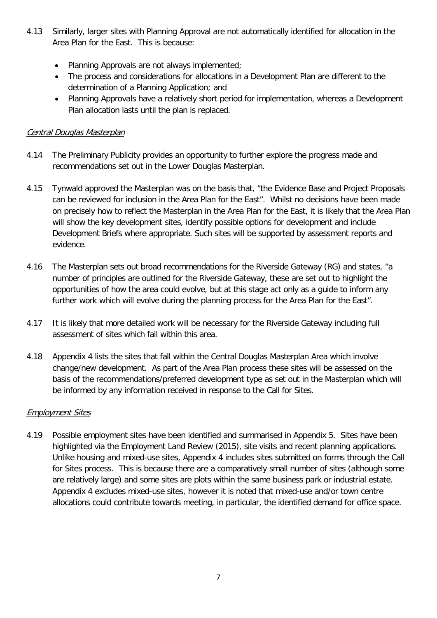- 4.13 Similarly, larger sites with Planning Approval are not automatically identified for allocation in the Area Plan for the East. This is because:
	- Planning Approvals are not always implemented;
	- The process and considerations for allocations in a Development Plan are different to the determination of a Planning Application; and
	- Planning Approvals have a relatively short period for implementation, whereas a Development Plan allocation lasts until the plan is replaced.

#### Central Douglas Masterplan

- 4.14 The Preliminary Publicity provides an opportunity to further explore the progress made and recommendations set out in the Lower Douglas Masterplan.
- 4.15 Tynwald approved the Masterplan was on the basis that, "the Evidence Base and Project Proposals can be reviewed for inclusion in the Area Plan for the East". Whilst no decisions have been made on precisely how to reflect the Masterplan in the Area Plan for the East, it is likely that the Area Plan will show the key development sites, identify possible options for development and include Development Briefs where appropriate. Such sites will be supported by assessment reports and evidence.
- 4.16 The Masterplan sets out broad recommendations for the Riverside Gateway (RG) and states, "a number of principles are outlined for the Riverside Gateway, these are set out to highlight the opportunities of how the area could evolve, but at this stage act only as a guide to inform any further work which will evolve during the planning process for the Area Plan for the East".
- 4.17 It is likely that more detailed work will be necessary for the Riverside Gateway including full assessment of sites which fall within this area.
- 4.18 Appendix 4 lists the sites that fall within the Central Douglas Masterplan Area which involve change/new development. As part of the Area Plan process these sites will be assessed on the basis of the recommendations/preferred development type as set out in the Masterplan which will be informed by any information received in response to the Call for Sites.

#### Employment Sites

4.19 Possible employment sites have been identified and summarised in Appendix 5. Sites have been highlighted via the Employment Land Review (2015), site visits and recent planning applications. Unlike housing and mixed-use sites, Appendix 4 includes sites submitted on forms through the Call for Sites process. This is because there are a comparatively small number of sites (although some are relatively large) and some sites are plots within the same business park or industrial estate. Appendix 4 excludes mixed-use sites, however it is noted that mixed-use and/or town centre allocations could contribute towards meeting, in particular, the identified demand for office space.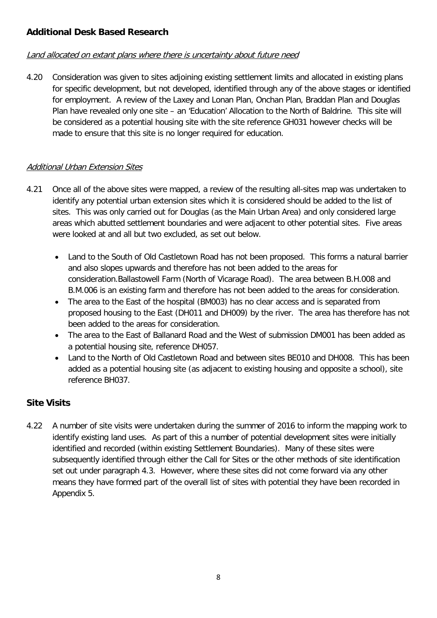#### **Additional Desk Based Research**

#### Land allocated on extant plans where there is uncertainty about future need

4.20 Consideration was given to sites adjoining existing settlement limits and allocated in existing plans for specific development, but not developed, identified through any of the above stages or identified for employment. A review of the Laxey and Lonan Plan, Onchan Plan, Braddan Plan and Douglas Plan have revealed only one site – an 'Education' Allocation to the North of Baldrine. This site will be considered as a potential housing site with the site reference GH031 however checks will be made to ensure that this site is no longer required for education.

#### Additional Urban Extension Sites

- 4.21 Once all of the above sites were mapped, a review of the resulting all-sites map was undertaken to identify any potential urban extension sites which it is considered should be added to the list of sites. This was only carried out for Douglas (as the Main Urban Area) and only considered large areas which abutted settlement boundaries and were adjacent to other potential sites. Five areas were looked at and all but two excluded, as set out below.
	- Land to the South of Old Castletown Road has not been proposed. This forms a natural barrier and also slopes upwards and therefore has not been added to the areas for consideration.Ballastowell Farm (North of Vicarage Road). The area between B.H.008 and B.M.006 is an existing farm and therefore has not been added to the areas for consideration.
	- The area to the East of the hospital (BM003) has no clear access and is separated from proposed housing to the East (DH011 and DH009) by the river. The area has therefore has not been added to the areas for consideration.
	- The area to the East of Ballanard Road and the West of submission DM001 has been added as a potential housing site, reference DH057.
	- Land to the North of Old Castletown Road and between sites BE010 and DH008. This has been added as a potential housing site (as adjacent to existing housing and opposite a school), site reference BH037.

### **Site Visits**

4.22 A number of site visits were undertaken during the summer of 2016 to inform the mapping work to identify existing land uses. As part of this a number of potential development sites were initially identified and recorded (within existing Settlement Boundaries). Many of these sites were subsequently identified through either the Call for Sites or the other methods of site identification set out under paragraph 4.3. However, where these sites did not come forward via any other means they have formed part of the overall list of sites with potential they have been recorded in Appendix 5.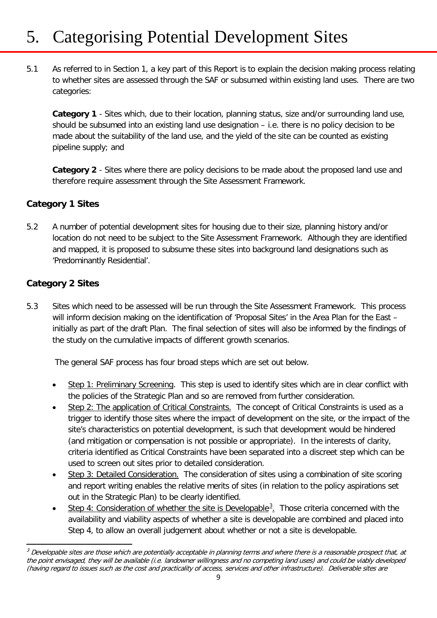# 5. Categorising Potential Development Sites

5.1 As referred to in Section 1, a key part of this Report is to explain the decision making process relating to whether sites are assessed through the SAF or subsumed within existing land uses. There are two categories:

**Category 1** - Sites which, due to their location, planning status, size and/or surrounding land use, should be subsumed into an existing land use designation – i.e. there is no policy decision to be made about the suitability of the land use, and the yield of the site can be counted as existing pipeline supply; and

**Category 2** - Sites where there are policy decisions to be made about the proposed land use and therefore require assessment through the Site Assessment Framework.

#### **Category 1 Sites**

5.2 A number of potential development sites for housing due to their size, planning history and/or location do not need to be subject to the Site Assessment Framework. Although they are identified and mapped, it is proposed to subsume these sites into background land designations such as 'Predominantly Residential'.

#### **Category 2 Sites**

5.3 Sites which need to be assessed will be run through the Site Assessment Framework. This process will inform decision making on the identification of 'Proposal Sites' in the Area Plan for the East – initially as part of the draft Plan. The final selection of sites will also be informed by the findings of the study on the cumulative impacts of different growth scenarios.

The general SAF process has four broad steps which are set out below.

- Step 1: Preliminary Screening. This step is used to identify sites which are in clear conflict with the policies of the Strategic Plan and so are removed from further consideration.
- Step 2: The application of Critical Constraints. The concept of Critical Constraints is used as a trigger to identify those sites where the impact of development on the site, or the impact of the site's characteristics on potential development, is such that development would be hindered (and mitigation or compensation is not possible or appropriate). In the interests of clarity, criteria identified as Critical Constraints have been separated into a discreet step which can be used to screen out sites prior to detailed consideration.
- Step 3: Detailed Consideration. The consideration of sites using a combination of site scoring and report writing enables the relative merits of sites (in relation to the policy aspirations set out in the Strategic Plan) to be clearly identified.
- Step 4: Consideration of whether the site is Developable<sup>[3](#page-10-0)</sup>. Those criteria concerned with the availability and viability aspects of whether a site is developable are combined and placed into Step 4, to allow an overall judgement about whether or not a site is developable.

<span id="page-10-0"></span>**<sup>.</sup>**  $3$  Developable sites are those which are potentially acceptable in planning terms and where there is a reasonable prospect that, at the point envisaged, they will be available (i.e. landowner willingness and no competing land uses) and could be viably developed (having regard to issues such as the cost and practicality of access, services and other infrastructure). Deliverable sites are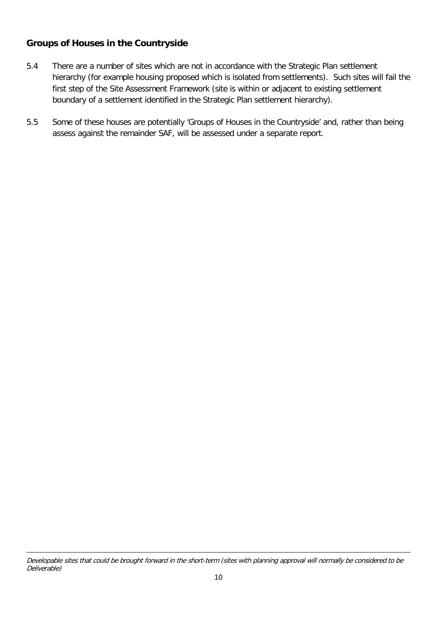#### **Groups of Houses in the Countryside**

- 5.4 There are a number of sites which are not in accordance with the Strategic Plan settlement hierarchy (for example housing proposed which is isolated from settlements). Such sites will fail the first step of the Site Assessment Framework (site is within or adjacent to existing settlement boundary of a settlement identified in the Strategic Plan settlement hierarchy).
- 5.5 Some of these houses are potentially 'Groups of Houses in the Countryside' and, rather than being assess against the remainder SAF, will be assessed under a separate report.

**<sup>.</sup>** Developable sites that could be brought forward in the short-term (sites with planning approval will normally be considered to be Deliverable)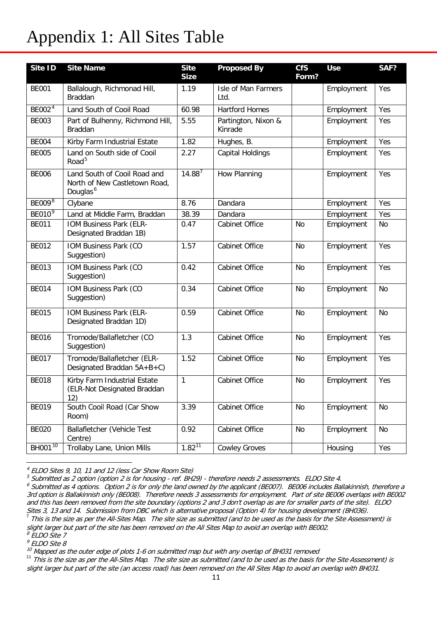## Appendix 1: All Sites Table

| Site ID              | <b>Site Name</b>                                                                      | <b>Site</b><br><b>Size</b> | <b>Proposed By</b>             | <b>CfS</b><br>Form? | <b>Use</b> | SAF?      |
|----------------------|---------------------------------------------------------------------------------------|----------------------------|--------------------------------|---------------------|------------|-----------|
| <b>BE001</b>         | Ballalough, Richmonad Hill,<br>Braddan                                                | 1.19                       | Isle of Man Farmers<br>Ltd.    |                     | Employment | Yes       |
| BE002 $\overline{4}$ | Land South of Cooil Road                                                              | 60.98                      | <b>Hartford Homes</b>          |                     | Employment | Yes       |
| <b>BE003</b>         | Part of Bulhenny, Richmond Hill,<br><b>Braddan</b>                                    | 5.55                       | Partington, Nixon &<br>Kinrade |                     | Employment | Yes       |
| <b>BE004</b>         | Kirby Farm Industrial Estate                                                          | 1.82                       | Hughes, B.                     |                     | Employment | Yes       |
| <b>BE005</b>         | Land on South side of Cooil<br>Road <sup>5</sup>                                      | 2.27                       | Capital Holdings               |                     | Employment | Yes       |
| <b>BE006</b>         | Land South of Cooil Road and<br>North of New Castletown Road,<br>Douglas <sup>6</sup> | $14.88^7$                  | How Planning                   |                     | Employment | Yes       |
| BE009 <sup>8</sup>   | Clybane                                                                               | 8.76                       | Dandara                        |                     | Employment | Yes       |
| BE010 <sup>9</sup>   | Land at Middle Farm, Braddan                                                          | 38.39                      | Dandara                        |                     | Employment | Yes       |
| <b>BE011</b>         | IOM Business Park (ELR-<br>Designated Braddan 1B)                                     | 0.47                       | Cabinet Office                 | <b>No</b>           | Employment | <b>No</b> |
| <b>BE012</b>         | IOM Business Park (CO<br>Suggestion)                                                  | 1.57                       | Cabinet Office                 | No                  | Employment | Yes       |
| <b>BE013</b>         | IOM Business Park (CO<br>Suggestion)                                                  | 0.42                       | Cabinet Office                 | <b>No</b>           | Employment | Yes       |
| <b>BE014</b>         | IOM Business Park (CO<br>Suggestion)                                                  | 0.34                       | Cabinet Office                 | <b>No</b>           | Employment | <b>No</b> |
| <b>BE015</b>         | IOM Business Park (ELR-<br>Designated Braddan 1D)                                     | 0.59                       | Cabinet Office                 | No                  | Employment | No        |
| <b>BE016</b>         | Tromode/Ballafletcher (CO<br>Suggestion)                                              | 1.3                        | Cabinet Office                 | <b>No</b>           | Employment | Yes       |
| <b>BE017</b>         | Tromode/Ballafletcher (ELR-<br>Designated Braddan 5A+B+C)                             | 1.52                       | Cabinet Office                 | <b>No</b>           | Employment | Yes       |
| <b>BE018</b>         | Kirby Farm Industrial Estate<br>(ELR-Not Designated Braddan<br>12)                    | 1                          | Cabinet Office                 | <b>No</b>           | Employment | Yes       |
| <b>BE019</b>         | South Cooil Road (Car Show<br>Room)                                                   | 3.39                       | Cabinet Office                 | No                  | Employment | No        |
| <b>BE020</b>         | <b>Ballafletcher (Vehicle Test</b><br>Centre)                                         | 0.92                       | Cabinet Office                 | No                  | Employment | No        |
| BH001 <sup>10</sup>  | Trollaby Lane, Union Mills                                                            | $1.82^{11}$                | <b>Cowley Groves</b>           |                     | Housing    | Yes       |

<span id="page-12-0"></span><sup>4</sup> ELDO Sites 9, 10, 11 and 12 (less Car Show Room Site)

**.** 

<span id="page-12-1"></span><sup>5</sup> Submitted as 2 option (option 2 is for housing - ref. BH29) - therefore needs 2 assessments. ELDO Site 4.

<span id="page-12-2"></span> $^6$  Submitted as 4 options. Option 2 is for only the land owned by the applicant (BE007). BE006 includes Ballakinnish, therefore a 3rd option is Ballakinnish only (BE008). Therefore needs 3 assessments for employment. Part of site BE006 overlaps with BE002 and this has been removed from the site boundary (options 2 and 3 don't overlap as are for smaller parts of the site). ELDO Sites 3, 13 and 14. Submission from DBC which is alternative proposal (Option 4) for housing development (BH036). <sup>7</sup> This is the size as per the All-Sites Map. The site size as submitted (and to be used as the basis for the Site Assessment) is

<span id="page-12-3"></span>slight larger but part of the site has been removed on the All Sites Map to avoid an overlap with BE002.<br><sup>8</sup> ELDO Site 7

<span id="page-12-4"></span>

<span id="page-12-5"></span>FLDO Site 8<br><sup>9</sup> ELDO Site 8<br><sup>10</sup> Mapped as the outer edge of plots 1-6 on submitted map but with any overlap of BH031 removed

<span id="page-12-7"></span><span id="page-12-6"></span><sup>&</sup>lt;sup>11</sup> This is the size as per the All-Sites Map. The site size as submitted (and to be used as the basis for the Site Assessment) is slight larger but part of the site (an access road) has been removed on the All Sites Map to avoid an overlap with BH031.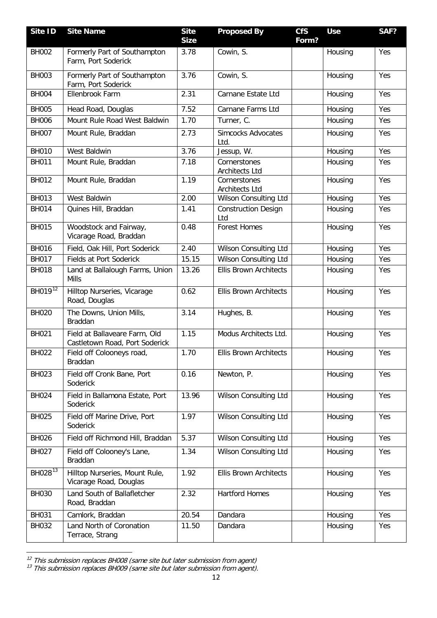| Site ID             | <b>Site Name</b>                                                | <b>Site</b><br><b>Size</b> | <b>Proposed By</b>                    | <b>CfS</b><br>Form? | <b>Use</b> | SAF? |
|---------------------|-----------------------------------------------------------------|----------------------------|---------------------------------------|---------------------|------------|------|
| <b>BH002</b>        | Formerly Part of Southampton<br>Farm, Port Soderick             | 3.78                       | Cowin, S.                             |                     | Housing    | Yes  |
| <b>BH003</b>        | Formerly Part of Southampton<br>Farm, Port Soderick             | 3.76                       | Cowin, S.                             |                     | Housing    | Yes  |
| <b>BH004</b>        | Ellenbrook Farm                                                 | 2.31                       | Carnane Estate Ltd                    |                     | Housing    | Yes  |
| <b>BH005</b>        | Head Road, Douglas                                              | 7.52                       | Carnane Farms Ltd                     |                     | Housing    | Yes  |
| <b>BH006</b>        | Mount Rule Road West Baldwin                                    | 1.70                       | Turner, C.                            |                     | Housing    | Yes  |
| <b>BH007</b>        | Mount Rule, Braddan                                             | 2.73                       | <b>Simcocks Advocates</b><br>Ltd.     |                     | Housing    | Yes  |
| <b>BH010</b>        | West Baldwin                                                    | 3.76                       | Jessup, W.                            |                     | Housing    | Yes  |
| <b>BH011</b>        | Mount Rule, Braddan                                             | 7.18                       | Cornerstones<br><b>Architects Ltd</b> |                     | Housing    | Yes  |
| <b>BH012</b>        | Mount Rule, Braddan                                             | 1.19                       | Cornerstones<br><b>Architects Ltd</b> |                     | Housing    | Yes  |
| <b>BH013</b>        | West Baldwin                                                    | 2.00                       | Wilson Consulting Ltd                 |                     | Housing    | Yes  |
| <b>BH014</b>        | Quines Hill, Braddan                                            | 1.41                       | <b>Construction Design</b><br>Ltd     |                     | Housing    | Yes  |
| <b>BH015</b>        | Woodstock and Fairway,<br>Vicarage Road, Braddan                | 0.48                       | <b>Forest Homes</b>                   |                     | Housing    | Yes  |
| <b>BH016</b>        | Field, Oak Hill, Port Soderick                                  | 2.40                       | Wilson Consulting Ltd                 |                     | Housing    | Yes  |
| <b>BH017</b>        | Fields at Port Soderick                                         | 15.15                      | Wilson Consulting Ltd                 |                     | Housing    | Yes  |
| <b>BH018</b>        | Land at Ballalough Farms, Union<br><b>Mills</b>                 | 13.26                      | <b>Ellis Brown Architects</b>         |                     | Housing    | Yes  |
| BH019 <sup>12</sup> | Hilltop Nurseries, Vicarage<br>Road, Douglas                    | 0.62                       | <b>Ellis Brown Architects</b>         |                     | Housing    | Yes  |
| <b>BH020</b>        | The Downs, Union Mills,<br>Braddan                              | 3.14                       | Hughes, B.                            |                     | Housing    | Yes  |
| BH021               | Field at Ballaveare Farm, Old<br>Castletown Road, Port Soderick | 1.15                       | Modus Architects Ltd.                 |                     | Housing    | Yes  |
| <b>BH022</b>        | Field off Colooneys road,<br>Braddan                            | 1.70                       | <b>Ellis Brown Architects</b>         |                     | Housing    | Yes  |
| <b>BH023</b>        | Field off Cronk Bane, Port<br>Soderick                          | 0.16                       | Newton, P.                            |                     | Housing    | Yes  |
| <b>BH024</b>        | Field in Ballamona Estate, Port<br>Soderick                     | 13.96                      | Wilson Consulting Ltd                 |                     | Housing    | Yes  |
| <b>BH025</b>        | Field off Marine Drive, Port<br>Soderick                        | 1.97                       | Wilson Consulting Ltd                 |                     | Housing    | Yes  |
| <b>BH026</b>        | Field off Richmond Hill, Braddan                                | 5.37                       | Wilson Consulting Ltd                 |                     | Housing    | Yes  |
| <b>BH027</b>        | Field off Colooney's Lane,<br>Braddan                           | 1.34                       | Wilson Consulting Ltd                 |                     | Housing    | Yes  |
| BH028 <sup>13</sup> | Hilltop Nurseries, Mount Rule,<br>Vicarage Road, Douglas        | 1.92                       | <b>Ellis Brown Architects</b>         |                     | Housing    | Yes  |
| <b>BH030</b>        | Land South of Ballafletcher<br>Road, Braddan                    | 2.32                       | <b>Hartford Homes</b>                 |                     | Housing    | Yes  |
| <b>BH031</b>        | Camlork, Braddan                                                | 20.54                      | Dandara                               |                     | Housing    | Yes  |
| <b>BH032</b>        | Land North of Coronation<br>Terrace, Strang                     | 11.50                      | Dandara                               |                     | Housing    | Yes  |

<span id="page-13-0"></span> $12$  This submission replaces BH008 (same site but later submission from agent)

<span id="page-13-1"></span> $13$  This submission replaces BH009 (same site but later submission from agent).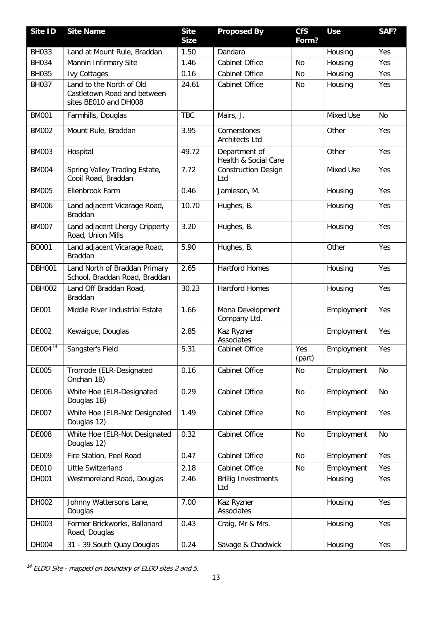| Site ID               | <b>Site Name</b>                                                                 | <b>Site</b><br><b>Size</b> | <b>Proposed By</b>                    | <b>CfS</b><br>Form? | <b>Use</b>       | SAF?      |
|-----------------------|----------------------------------------------------------------------------------|----------------------------|---------------------------------------|---------------------|------------------|-----------|
| <b>BH033</b>          | Land at Mount Rule, Braddan                                                      | 1.50                       | Dandara                               |                     | Housing          | Yes       |
| <b>BH034</b>          | Mannin Infirmary Site                                                            | 1.46                       | Cabinet Office                        | <b>No</b>           | Housing          | Yes       |
| <b>BH035</b>          | <b>Ivy Cottages</b>                                                              | 0.16                       | Cabinet Office                        | <b>No</b>           | Housing          | Yes       |
| <b>BH037</b>          | Land to the North of Old<br>Castletown Road and between<br>sites BE010 and DH008 | 24.61                      | Cabinet Office                        | <b>No</b>           | Housing          | Yes       |
| <b>BM001</b>          | Farmhills, Douglas                                                               | <b>TBC</b>                 | Mairs, J.                             |                     | Mixed Use        | <b>No</b> |
| <b>BM002</b>          | Mount Rule, Braddan                                                              | 3.95                       | Cornerstones<br><b>Architects Ltd</b> |                     | Other            | Yes       |
| <b>BM003</b>          | Hospital                                                                         | 49.72                      | Department of<br>Health & Social Care |                     | Other            | Yes       |
| <b>BM004</b>          | Spring Valley Trading Estate,<br>Cooil Road, Braddan                             | 7.72                       | <b>Construction Design</b><br>Ltd     |                     | <b>Mixed Use</b> | Yes       |
| <b>BM005</b>          | Ellenbrook Farm                                                                  | 0.46                       | Jamieson, M.                          |                     | Housing          | Yes       |
| <b>BM006</b>          | Land adjacent Vicarage Road,<br>Braddan                                          | 10.70                      | Hughes, B.                            |                     | Housing          | Yes       |
| <b>BM007</b>          | Land adjacent Lhergy Cripperty<br>Road, Union Mills                              | 3.20                       | Hughes, B.                            |                     | Housing          | Yes       |
| BO001                 | Land adjacent Vicarage Road,<br>Braddan                                          | 5.90                       | Hughes, B.                            |                     | Other            | Yes       |
| <b>DBH001</b>         | Land North of Braddan Primary<br>School, Braddan Road, Braddan                   | 2.65                       | <b>Hartford Homes</b>                 |                     | Housing          | Yes       |
| <b>DBH002</b>         | Land Off Braddan Road,<br>Braddan                                                | 30.23                      | <b>Hartford Homes</b>                 |                     | Housing          | Yes       |
| <b>DE001</b>          | Middle River Industrial Estate                                                   | 1.66                       | Mona Development<br>Company Ltd.      |                     | Employment       | Yes       |
| <b>DE002</b>          | Kewaigue, Douglas                                                                | 2.85                       | Kaz Ryzner<br>Associates              |                     | Employment       | Yes       |
| $DE004$ <sup>14</sup> | Sangster's Field                                                                 | 5.31                       | Cabinet Office                        | Yes<br>(part)       | Employment       | Yes       |
| <b>DE005</b>          | Tromode (ELR-Designated<br>Onchan 1B)                                            | 0.16                       | Cabinet Office                        | No                  | Employment       | No        |
| <b>DE006</b>          | White Hoe (ELR-Designated<br>Douglas 1B)                                         | 0.29                       | Cabinet Office                        | No                  | Employment       | No        |
| <b>DE007</b>          | White Hoe (ELR-Not Designated<br>Douglas 12)                                     | 1.49                       | Cabinet Office                        | <b>No</b>           | Employment       | Yes       |
| <b>DE008</b>          | White Hoe (ELR-Not Designated<br>Douglas 12)                                     | 0.32                       | Cabinet Office                        | <b>No</b>           | Employment       | No        |
| <b>DE009</b>          | Fire Station, Peel Road                                                          | 0.47                       | Cabinet Office                        | <b>No</b>           | Employment       | Yes       |
| <b>DE010</b>          | Little Switzerland                                                               | 2.18                       | Cabinet Office                        | No                  | Employment       | Yes       |
| DH001                 | Westmoreland Road, Douglas                                                       | 2.46                       | <b>Brillig Investments</b><br>Ltd     |                     | Housing          | Yes       |
| DH002                 | Johnny Wattersons Lane,<br>Douglas                                               | 7.00                       | Kaz Ryzner<br>Associates              |                     | Housing          | Yes       |
| DH003                 | Former Brickworks, Ballanard<br>Road, Douglas                                    | 0.43                       | Craig, Mr & Mrs.                      |                     | Housing          | Yes       |
| DH004                 | 31 - 39 South Quay Douglas                                                       | 0.24                       | Savage & Chadwick                     |                     | Housing          | Yes       |

<span id="page-14-0"></span><sup>14</sup> ELDO Site - mapped on boundary of ELDO sites 2 and 5.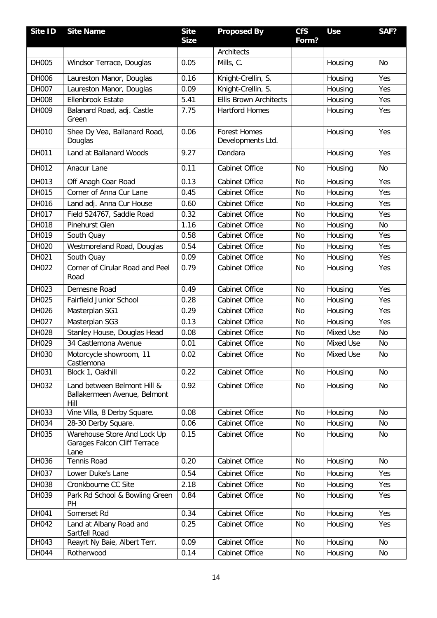| Site ID      | <b>Site Name</b>                                                    | <b>Site</b> | <b>Proposed By</b>                       | <b>CfS</b> | <b>Use</b> | SAF?      |
|--------------|---------------------------------------------------------------------|-------------|------------------------------------------|------------|------------|-----------|
|              |                                                                     | <b>Size</b> |                                          | Form?      |            |           |
|              |                                                                     |             | Architects                               |            |            |           |
| <b>DH005</b> | Windsor Terrace, Douglas                                            | 0.05        | Mills, C.                                |            | Housing    | <b>No</b> |
| DH006        | Laureston Manor, Douglas                                            | 0.16        | Knight-Crellin, S.                       |            | Housing    | Yes       |
| <b>DH007</b> | Laureston Manor, Douglas                                            | 0.09        | Knight-Crellin, S.                       |            | Housing    | Yes       |
| DH008        | <b>Ellenbrook Estate</b>                                            | 5.41        | <b>Ellis Brown Architects</b>            |            | Housing    | Yes       |
| DH009        | Balanard Road, adj. Castle<br>Green                                 | 7.75        | <b>Hartford Homes</b>                    |            | Housing    | Yes       |
| DH010        | Shee Dy Vea, Ballanard Road,<br>Douglas                             | 0.06        | <b>Forest Homes</b><br>Developments Ltd. |            | Housing    | Yes       |
| DH011        | Land at Ballanard Woods                                             | 9.27        | Dandara                                  |            | Housing    | Yes       |
| DH012        | Anacur Lane                                                         | 0.11        | <b>Cabinet Office</b>                    | No         | Housing    | <b>No</b> |
| DH013        | Off Anagh Coar Road                                                 | 0.13        | Cabinet Office                           | <b>No</b>  | Housing    | Yes       |
| DH015        | Corner of Anna Cur Lane                                             | 0.45        | Cabinet Office                           | No         | Housing    | Yes       |
| DH016        | Land adj. Anna Cur House                                            | 0.60        | Cabinet Office                           | No         | Housing    | Yes       |
| DH017        | Field 524767, Saddle Road                                           | 0.32        | <b>Cabinet Office</b>                    | <b>No</b>  | Housing    | Yes       |
| DH018        | Pinehurst Glen                                                      | 1.16        | Cabinet Office                           | No         | Housing    | <b>No</b> |
| DH019        | South Quay                                                          | 0.58        | Cabinet Office                           | No         | Housing    | Yes       |
| DH020        | Westmoreland Road, Douglas                                          | 0.54        | Cabinet Office                           | No         | Housing    | Yes       |
| DH021        | South Quay                                                          | 0.09        | Cabinet Office                           | No         | Housing    | Yes       |
| DH022        | Corner of Cirular Road and Peel<br>Road                             | 0.79        | Cabinet Office                           | No         | Housing    | Yes       |
| DH023        | Demesne Road                                                        | 0.49        | Cabinet Office                           | <b>No</b>  | Housing    | Yes       |
| DH025        | <b>Fairfield Junior School</b>                                      | 0.28        | Cabinet Office                           | No         | Housing    | Yes       |
| DH026        | Masterplan SG1                                                      | 0.29        | Cabinet Office                           | <b>No</b>  | Housing    | Yes       |
| DH027        | Masterplan SG3                                                      | 0.13        | Cabinet Office                           | No         | Housing    | Yes       |
| DH028        | Stanley House, Douglas Head                                         | 0.08        | Cabinet Office                           | <b>No</b>  | Mixed Use  | <b>No</b> |
| DH029        | 34 Castlemona Avenue                                                | 0.01        | Cabinet Office                           | No         | Mixed Use  | No        |
| DH030        | Motorcycle showroom, 11<br>Castlemona                               | 0.02        | Cabinet Office                           | No         | Mixed Use  | No        |
| DH031        | Block 1, Oakhill                                                    | 0.22        | Cabinet Office                           | No         | Housing    | No        |
| DH032        | Land between Belmont Hill &<br>Ballakermeen Avenue, Belmont<br>Hill | 0.92        | Cabinet Office                           | No         | Housing    | No        |
| DH033        | Vine Villa, 8 Derby Square.                                         | 0.08        | Cabinet Office                           | No         | Housing    | <b>No</b> |
| DH034        | 28-30 Derby Square.                                                 | 0.06        | Cabinet Office                           | No         | Housing    | No        |
| DH035        | Warehouse Store And Lock Up<br>Garages Falcon Cliff Terrace<br>Lane | 0.15        | Cabinet Office                           | No         | Housing    | No        |
| DH036        | Tennis Road                                                         | 0.20        | Cabinet Office                           | No         | Housing    | No        |
| DH037        | Lower Duke's Lane                                                   | 0.54        | Cabinet Office                           | No         | Housing    | Yes       |
| DH038        | Cronkbourne CC Site                                                 | 2.18        | Cabinet Office                           | No         | Housing    | Yes       |
| DH039        | Park Rd School & Bowling Green<br>PH                                | 0.84        | Cabinet Office                           | No         | Housing    | Yes       |
| DH041        | Somerset Rd                                                         | 0.34        | Cabinet Office                           | No         | Housing    | Yes       |
| DH042        | Land at Albany Road and<br>Sartfell Road                            | 0.25        | Cabinet Office                           | No         | Housing    | Yes       |
| DH043        | Reayrt Ny Baie, Albert Terr.                                        | 0.09        | Cabinet Office                           | No         | Housing    | <b>No</b> |
| DH044        | Rotherwood                                                          | 0.14        | Cabinet Office                           | No         | Housing    | No        |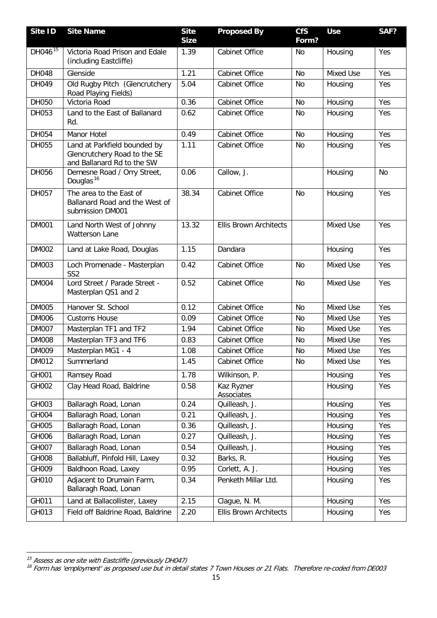| Site ID             | <b>Site Name</b>                                                                           | <b>Site</b><br><b>Size</b> | <b>Proposed By</b>            | <b>CfS</b><br>Form? | <b>Use</b> | SAF?      |
|---------------------|--------------------------------------------------------------------------------------------|----------------------------|-------------------------------|---------------------|------------|-----------|
| DH046 <sup>15</sup> | Victoria Road Prison and Edale<br>(including Eastcliffe)                                   | 1.39                       | <b>Cabinet Office</b>         | No                  | Housing    | Yes       |
| DH048               | Glenside                                                                                   | 1.21                       | Cabinet Office                | No                  | Mixed Use  | Yes       |
| DH049               | Old Rugby Pitch (Glencrutchery<br>Road Playing Fields)                                     | 5.04                       | Cabinet Office                | No                  | Housing    | Yes       |
| DH050               | Victoria Road                                                                              | 0.36                       | Cabinet Office                | <b>No</b>           | Housing    | Yes       |
| DH053               | Land to the East of Ballanard<br>Rd.                                                       | 0.62                       | Cabinet Office                | <b>No</b>           | Housing    | Yes       |
| DH054               | Manor Hotel                                                                                | 0.49                       | <b>Cabinet Office</b>         | No                  | Housing    | Yes       |
| DH055               | Land at Parkfield bounded by<br>Glencrutchery Road to the SE<br>and Ballanard Rd to the SW | 1.11                       | Cabinet Office                | No                  | Housing    | Yes       |
| DH056               | Demesne Road / Orry Street,<br>Douglas <sup>16</sup>                                       | 0.06                       | Callow, J.                    |                     | Housing    | <b>No</b> |
| DH057               | The area to the East of<br>Ballanard Road and the West of<br>submission DM001              | 38.34                      | <b>Cabinet Office</b>         | <b>No</b>           | Housing    | Yes       |
| <b>DM001</b>        | Land North West of Johnny<br><b>Watterson Lane</b>                                         | 13.32                      | <b>Ellis Brown Architects</b> |                     | Mixed Use  | Yes       |
| <b>DM002</b>        | Land at Lake Road, Douglas                                                                 | 1.15                       | Dandara                       |                     | Housing    | Yes       |
| <b>DM003</b>        | Loch Promenade - Masterplan<br>SS <sub>2</sub>                                             | 0.42                       | Cabinet Office                | <b>No</b>           | Mixed Use  | Yes       |
| <b>DM004</b>        | Lord Street / Parade Street -<br>Masterplan QS1 and 2                                      | 0.52                       | Cabinet Office                | <b>No</b>           | Mixed Use  | Yes       |
| <b>DM005</b>        | Hanover St. School                                                                         | 0.12                       | <b>Cabinet Office</b>         | <b>No</b>           | Mixed Use  | Yes       |
| <b>DM006</b>        | <b>Customs House</b>                                                                       | 0.09                       | <b>Cabinet Office</b>         | No                  | Mixed Use  | Yes       |
| <b>DM007</b>        | Masterplan TF1 and TF2                                                                     | 1.94                       | Cabinet Office                | No                  | Mixed Use  | Yes       |
| <b>DM008</b>        | Masterplan TF3 and TF6                                                                     | 0.83                       | Cabinet Office                | No                  | Mixed Use  | Yes       |
| <b>DM009</b>        | Masterplan MG1 - 4                                                                         | 1.08                       | Cabinet Office                | No                  | Mixed Use  | Yes       |
| DM012               | Summerland                                                                                 | 1.45                       | Cabinet Office                | No                  | Mixed Use  | Yes       |
| GH001               | Ramsey Road                                                                                | 1.78                       | Wilkinson, P.                 |                     | Housing    | Yes       |
| GH002               | Clay Head Road, Baldrine                                                                   | 0.58                       | Kaz Ryzner<br>Associates      |                     | Housing    | Yes       |
| GH003               | Ballaragh Road, Lonan                                                                      | 0.24                       | Quilleash, J.                 |                     | Housing    | Yes       |
| GH004               | Ballaragh Road, Lonan                                                                      | 0.21                       | Quilleash, J.                 |                     | Housing    | Yes       |
| GH005               | Ballaragh Road, Lonan                                                                      | 0.36                       | Quilleash, J.                 |                     | Housing    | Yes       |
| GH006               | Ballaragh Road, Lonan                                                                      | 0.27                       | Quilleash, J.                 |                     | Housing    | Yes       |
| GH007               | Ballaragh Road, Lonan                                                                      | 0.54                       | Quilleash, J.                 |                     | Housing    | Yes       |
| GH008               | Ballabluff, Pinfold Hill, Laxey                                                            | 0.32                       | Barks, R.                     |                     | Housing    | Yes       |
| GH009               | Baldhoon Road, Laxey                                                                       | 0.95                       | Corlett, A. J.                |                     | Housing    | Yes       |
| GH010               | Adjacent to Drumain Farm,<br>Ballaragh Road, Lonan                                         | 0.34                       | Penketh Millar Ltd.           |                     | Housing    | Yes       |
| GH011               | Land at Ballacollister, Laxey                                                              | 2.15                       | Clague, N. M.                 |                     | Housing    | Yes       |
| GH013               | Field off Baldrine Road, Baldrine                                                          | 2.20                       | <b>Ellis Brown Architects</b> |                     | Housing    | Yes       |

**<sup>.</sup>** 

<span id="page-16-1"></span><span id="page-16-0"></span><sup>&</sup>lt;sup>15</sup> Assess as one site with Eastcliffe (previously DH047)<br><sup>16</sup> Form has 'employment' as proposed use but in detail states 7 Town Houses or 21 Flats. Therefore re-coded from DE003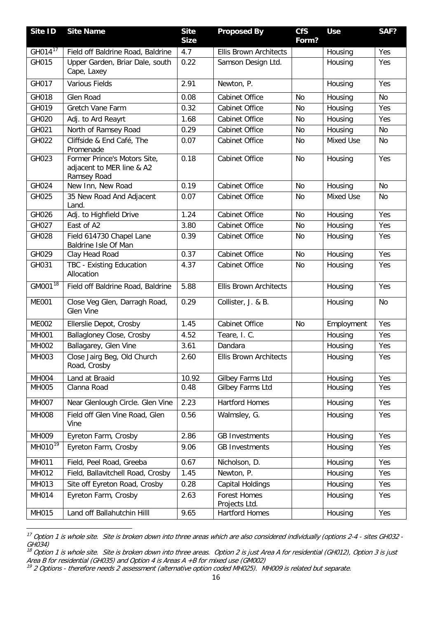| Site ID             | <b>Site Name</b>                                                         | <b>Site</b><br><b>Size</b> | <b>Proposed By</b>                   | <b>CfS</b><br>Form? | <b>Use</b>       | SAF?      |
|---------------------|--------------------------------------------------------------------------|----------------------------|--------------------------------------|---------------------|------------------|-----------|
| GH014 <sup>17</sup> | Field off Baldrine Road, Baldrine                                        | 4.7                        | <b>Ellis Brown Architects</b>        |                     | Housing          | Yes       |
| GH015               | Upper Garden, Briar Dale, south<br>Cape, Laxey                           | 0.22                       | Samson Design Ltd.                   |                     | Housing          | Yes       |
| GH017               | <b>Various Fields</b>                                                    | 2.91                       | Newton, P.                           |                     | Housing          | Yes       |
| GH018               | Glen Road                                                                | 0.08                       | <b>Cabinet Office</b>                | <b>No</b>           | Housing          | <b>No</b> |
| GH019               | <b>Gretch Vane Farm</b>                                                  | 0.32                       | <b>Cabinet Office</b>                | No                  | Housing          | Yes       |
| GH020               | Adj. to Ard Reayrt                                                       | 1.68                       | Cabinet Office                       | No                  | Housing          | Yes       |
| GH021               | North of Ramsey Road                                                     | 0.29                       | <b>Cabinet Office</b>                | No                  | Housing          | <b>No</b> |
| GH022               | Cliffside & End Café, The<br>Promenade                                   | 0.07                       | Cabinet Office                       | No                  | Mixed Use        | <b>No</b> |
| GH023               | Former Prince's Motors Site,<br>adjacent to MER line & A2<br>Ramsey Road | 0.18                       | Cabinet Office                       | No                  | Housing          | Yes       |
| GH024               | New Inn, New Road                                                        | 0.19                       | <b>Cabinet Office</b>                | <b>No</b>           | Housing          | <b>No</b> |
| GH025               | 35 New Road And Adjacent<br>Land.                                        | 0.07                       | Cabinet Office                       | No                  | <b>Mixed Use</b> | No        |
| GH026               | Adj. to Highfield Drive                                                  | 1.24                       | Cabinet Office                       | No                  | Housing          | Yes       |
| GH027               | East of A2                                                               | 3.80                       | Cabinet Office                       | No                  | Housing          | Yes       |
| GH028               | Field 614730 Chapel Lane<br>Baldrine Isle Of Man                         | 0.39                       | Cabinet Office                       | No                  | Housing          | Yes       |
| GH029               | Clay Head Road                                                           | 0.37                       | Cabinet Office                       | No                  | Housing          | Yes       |
| GH031               | TBC - Existing Education<br>Allocation                                   | 4.37                       | Cabinet Office                       | <b>No</b>           | Housing          | Yes       |
| GM001 <sup>18</sup> | Field off Baldrine Road, Baldrine                                        | 5.88                       | <b>Ellis Brown Architects</b>        |                     | Housing          | Yes       |
| <b>ME001</b>        | Close Veg Glen, Darragh Road,<br><b>Glen Vine</b>                        | 0.29                       | Collister, J. & B.                   |                     | Housing          | <b>No</b> |
| <b>ME002</b>        | Ellerslie Depot, Crosby                                                  | 1.45                       | Cabinet Office                       | No                  | Employment       | Yes       |
| <b>MH001</b>        | Ballagloney Close, Crosby                                                | 4.52                       | Teare, I. C.                         |                     | Housing          | Yes       |
| MH002               | Ballagarey, Glen Vine                                                    | 3.61                       | Dandara                              |                     | Housing          | Yes       |
| MH003               | Close Jairg Beg, Old Church<br>Road, Crosby                              | 2.60                       | <b>Ellis Brown Architects</b>        |                     | Housing          | Yes       |
| <b>MH004</b>        | Land at Braaid                                                           | 10.92                      | Gilbey Farms Ltd                     |                     | Housing          | Yes       |
| MH005               | Clanna Road                                                              | 0.48                       | Gilbey Farms Ltd                     |                     | Housing          | Yes       |
| <b>MH007</b>        | Near Glenlough Circle. Glen Vine                                         | 2.23                       | <b>Hartford Homes</b>                |                     | Housing          | Yes       |
| <b>MH008</b>        | Field off Glen Vine Road, Glen<br>Vine                                   | 0.56                       | Walmsley, G.                         |                     | Housing          | Yes       |
| MH009               | Eyreton Farm, Crosby                                                     | 2.86                       | <b>GB Investments</b>                |                     | Housing          | Yes       |
| $MHO10^{19}$        | Eyreton Farm, Crosby                                                     | 9.06                       | <b>GB Investments</b>                |                     | Housing          | Yes       |
| MH011               | Field, Peel Road, Greeba                                                 | 0.67                       | Nicholson, D.                        |                     | Housing          | Yes       |
| MH012               | Field, Ballavitchell Road, Crosby                                        | 1.45                       | Newton, P.                           |                     | Housing          | Yes       |
| MH013               | Site off Eyreton Road, Crosby                                            | 0.28                       | Capital Holdings                     |                     | Housing          | Yes       |
| MH014               | Eyreton Farm, Crosby                                                     | 2.63                       | <b>Forest Homes</b><br>Projects Ltd. |                     | Housing          | Yes       |
| MH015               | Land off Ballahutchin Hilll                                              | 9.65                       | <b>Hartford Homes</b>                |                     | Housing          | Yes       |

<span id="page-17-0"></span>**<sup>.</sup>**  $^{17}$  Option 1 is whole site. Site is broken down into three areas which are also considered individually (options 2-4 - sites GH032 -GH034)

<span id="page-17-1"></span> $^{18}$  Option 1 is whole site. Site is broken down into three areas. Option 2 is just Area A for residential (GH012), Option 3 is just Area B for residential (GH035) and Option 4 is Areas A +B for mixed use (GM002)

<span id="page-17-2"></span> $^{19}$  2 Options - therefore needs 2 assessment (alternative option coded MH025). MH009 is related but separate.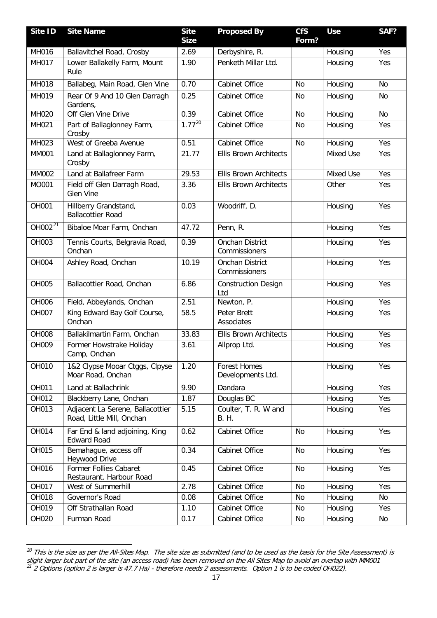| Site ID       | <b>Site Name</b>                                              | <b>Site</b><br><b>Size</b> | <b>Proposed By</b>                       | <b>CfS</b><br>Form? | <b>Use</b> | SAF?      |
|---------------|---------------------------------------------------------------|----------------------------|------------------------------------------|---------------------|------------|-----------|
| MH016         | Ballavitchel Road, Crosby                                     | 2.69                       | Derbyshire, R.                           |                     | Housing    | Yes       |
| MH017         | Lower Ballakelly Farm, Mount<br>Rule                          | 1.90                       | Penketh Millar Ltd.                      |                     | Housing    | Yes       |
| MH018         | Ballabeg, Main Road, Glen Vine                                | 0.70                       | Cabinet Office                           | No                  | Housing    | <b>No</b> |
| MH019         | Rear Of 9 And 10 Glen Darragh<br>Gardens,                     | 0.25                       | <b>Cabinet Office</b>                    | No                  | Housing    | No        |
| <b>MH020</b>  | Off Glen Vine Drive                                           | 0.39                       | Cabinet Office                           | <b>No</b>           | Housing    | <b>No</b> |
| MH021         | Part of Ballaglonney Farm,<br>Crosby                          | $1.77^{20}$                | Cabinet Office                           | No                  | Housing    | Yes       |
| MH023         | West of Greeba Avenue                                         | 0.51                       | Cabinet Office                           | <b>No</b>           | Housing    | Yes       |
| <b>MM001</b>  | Land at Ballaglonney Farm,<br>Crosby                          | 21.77                      | <b>Ellis Brown Architects</b>            |                     | Mixed Use  | Yes       |
| <b>MM002</b>  | Land at Ballafreer Farm                                       | 29.53                      | <b>Ellis Brown Architects</b>            |                     | Mixed Use  | Yes       |
| MO001         | Field off Glen Darragh Road,<br><b>Glen Vine</b>              | 3.36                       | <b>Ellis Brown Architects</b>            |                     | Other      | Yes       |
| OH001         | Hillberry Grandstand,<br><b>Ballacottier Road</b>             | 0.03                       | Woodriff, D.                             |                     | Housing    | Yes       |
| OH002 $^{21}$ | Bibaloe Moar Farm, Onchan                                     | 47.72                      | Penn, R.                                 |                     | Housing    | Yes       |
| OH003         | Tennis Courts, Belgravia Road,<br>Onchan                      | 0.39                       | Onchan District<br>Commissioners         |                     | Housing    | Yes       |
| <b>OH004</b>  | Ashley Road, Onchan                                           | 10.19                      | Onchan District<br>Commissioners         |                     | Housing    | Yes       |
| <b>OH005</b>  | Ballacottier Road, Onchan                                     | 6.86                       | <b>Construction Design</b><br>Ltd        |                     | Housing    | Yes       |
| <b>OH006</b>  | Field, Abbeylands, Onchan                                     | 2.51                       | Newton, P.                               |                     | Housing    | Yes       |
| OH007         | King Edward Bay Golf Course,<br>Onchan                        | 58.5                       | Peter Brett<br>Associates                |                     | Housing    | Yes       |
| <b>OH008</b>  | Ballakilmartin Farm, Onchan                                   | 33.83                      | <b>Ellis Brown Architects</b>            |                     | Housing    | Yes       |
| OH009         | Former Howstrake Holiday<br>Camp, Onchan                      | 3.61                       | Allprop Ltd.                             |                     | Housing    | Yes       |
| OH010         | 1&2 Clypse Mooar Ctggs, Clpyse<br>Moar Road, Onchan           | 1.20                       | <b>Forest Homes</b><br>Developments Ltd. |                     | Housing    | Yes       |
| OH011         | Land at Ballachrink                                           | 9.90                       | Dandara                                  |                     | Housing    | Yes       |
| OH012         | Blackberry Lane, Onchan                                       | 1.87                       | Douglas BC                               |                     | Housing    | Yes       |
| OH013         | Adjacent La Serene, Ballacottier<br>Road, Little Mill, Onchan | 5.15                       | Coulter, T. R. W and<br><b>B. H.</b>     |                     | Housing    | Yes       |
| OH014         | Far End & land adjoining, King<br><b>Edward Road</b>          | 0.62                       | Cabinet Office                           | No                  | Housing    | Yes       |
| OH015         | Bemahague, access off<br>Heywood Drive                        | 0.34                       | Cabinet Office                           | No                  | Housing    | Yes       |
| OH016         | Former Follies Cabaret<br>Restaurant. Harbour Road            | 0.45                       | Cabinet Office                           | No                  | Housing    | Yes       |
| OH017         | West of Summerhill                                            | 2.78                       | Cabinet Office                           | No                  | Housing    | Yes       |
| OH018         | Governor's Road                                               | 0.08                       | Cabinet Office                           | No                  | Housing    | No        |
| OH019         | Off Strathallan Road                                          | 1.10                       | Cabinet Office                           | No                  | Housing    | Yes       |
| OH020         | Furman Road                                                   | 0.17                       | Cabinet Office                           | No                  | Housing    | No        |

<span id="page-18-1"></span><span id="page-18-0"></span>**<sup>.</sup>**  $^{20}$  This is the size as per the All-Sites Map. The site size as submitted (and to be used as the basis for the Site Assessment) is slight larger but part of the site (an access road) has been removed on the All Sites Map to avoid an overlap with MM001  $^{21}$  2 Options (option 2 is larger is 47.7 Ha) - therefore needs 2 assessments. Option 1 is to be coded OH022).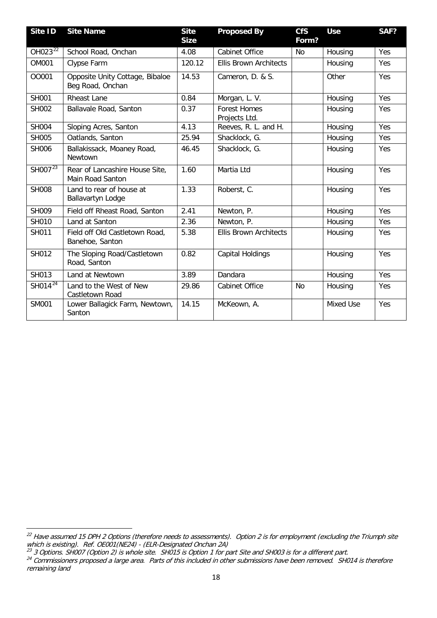| Site ID             | <b>Site Name</b>                                    | <b>Site</b><br><b>Size</b> | <b>Proposed By</b>                   | <b>CfS</b><br>Form? | <b>Use</b> | SAF? |
|---------------------|-----------------------------------------------------|----------------------------|--------------------------------------|---------------------|------------|------|
| OH023 <sup>22</sup> | School Road, Onchan                                 | 4.08                       | <b>Cabinet Office</b>                | <b>No</b>           | Housing    | Yes  |
| <b>OM001</b>        | Clypse Farm                                         | 120.12                     | <b>Ellis Brown Architects</b>        |                     | Housing    | Yes  |
| 00001               | Opposite Unity Cottage, Bibaloe<br>Beg Road, Onchan | 14.53                      | Cameron, D. & S.                     |                     | Other      | Yes  |
| <b>SH001</b>        | <b>Rheast Lane</b>                                  | 0.84                       | Morgan, L. V.                        |                     | Housing    | Yes  |
| <b>SH002</b>        | Ballavale Road, Santon                              | 0.37                       | <b>Forest Homes</b><br>Projects Ltd. |                     | Housing    | Yes  |
| <b>SH004</b>        | Sloping Acres, Santon                               | 4.13                       | Reeves, R. L. and H.                 |                     | Housing    | Yes  |
| <b>SH005</b>        | Oatlands, Santon                                    | 25.94                      | Shacklock, G.                        |                     | Housing    | Yes  |
| <b>SH006</b>        | Ballakissack, Moaney Road,<br>Newtown               | 46.45                      | Shacklock, G.                        |                     | Housing    | Yes  |
| SHO07 $^{23}$       | Rear of Lancashire House Site,<br>Main Road Santon  | 1.60                       | Martia Ltd                           |                     | Housing    | Yes  |
| <b>SH008</b>        | Land to rear of house at<br>Ballavartyn Lodge       | 1.33                       | Roberst, C.                          |                     | Housing    | Yes  |
| <b>SH009</b>        | Field off Rheast Road, Santon                       | 2.41                       | Newton, P.                           |                     | Housing    | Yes  |
| SH010               | Land at Santon                                      | 2.36                       | Newton, P.                           |                     | Housing    | Yes  |
| SH011               | Field off Old Castletown Road,<br>Banehoe, Santon   | 5.38                       | <b>Ellis Brown Architects</b>        |                     | Housing    | Yes  |
| SH012               | The Sloping Road/Castletown<br>Road, Santon         | 0.82                       | <b>Capital Holdings</b>              |                     | Housing    | Yes  |
| SH013               | Land at Newtown                                     | 3.89                       | Dandara                              |                     | Housing    | Yes  |
| $SHO14^{24}$        | Land to the West of New<br>Castletown Road          | 29.86                      | <b>Cabinet Office</b>                | <b>No</b>           | Housing    | Yes  |
| <b>SM001</b>        | Lower Ballagick Farm, Newtown,<br>Santon            | 14.15                      | McKeown, A.                          |                     | Mixed Use  | Yes  |

<span id="page-19-0"></span>**<sup>.</sup>**  $^{22}$  Have assumed 15 DPH 2 Options (therefore needs to assessments). Option 2 is for employment (excluding the Triumph site which is existing). Ref. OE001(NE24) - (ELR-Designated Onchan 2A)

 $^{23}$  3 Options. SH007 (Option 2) is whole site.  $\,$  SH015 is Option 1 for part Site and SH003 is for a different part.

<span id="page-19-2"></span><span id="page-19-1"></span> $^{24}$  Commissioners proposed a large area. Parts of this included in other submissions have been removed. SH014 is therefore remaining land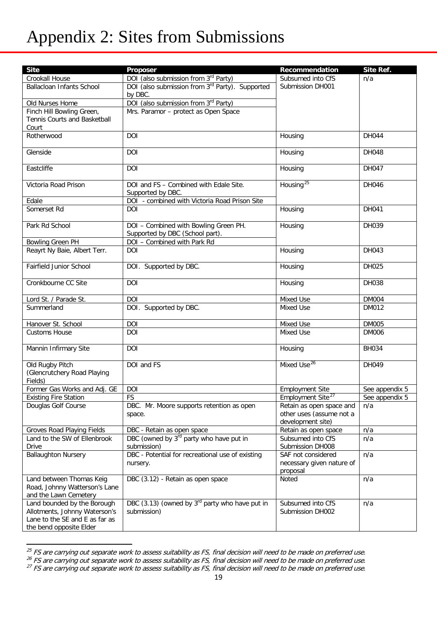## Appendix 2: Sites from Submissions

| <b>Site</b>                                                                                                               | Proposer                                                           | Recommendation                                                            | Site Ref.      |
|---------------------------------------------------------------------------------------------------------------------------|--------------------------------------------------------------------|---------------------------------------------------------------------------|----------------|
| Crookall House                                                                                                            | DOI (also submission from 3rd Party)                               | Subsumed into CfS                                                         | n/a            |
| <b>Ballacloan Infants School</b>                                                                                          | DOI (also submission from 3 <sup>rd</sup> Party). Supported        | Submission DH001                                                          |                |
|                                                                                                                           | by DBC.                                                            |                                                                           |                |
| Old Nurses Home                                                                                                           | DOI (also submission from 3rd Party)                               |                                                                           |                |
| Finch Hill Bowling Green,                                                                                                 | Mrs. Paramor - protect as Open Space                               |                                                                           |                |
| Tennis Courts and Basketball                                                                                              |                                                                    |                                                                           |                |
| Court                                                                                                                     |                                                                    |                                                                           |                |
| Rotherwood                                                                                                                | <b>DOI</b>                                                         | Housing                                                                   | DH044          |
| Glenside                                                                                                                  | DOI                                                                | Housing                                                                   | DH048          |
| Eastcliffe                                                                                                                | <b>DOI</b>                                                         | Housing                                                                   | DH047          |
| Victoria Road Prison                                                                                                      | DOI and FS - Combined with Edale Site.                             | Housing <sup>25</sup>                                                     | DH046          |
|                                                                                                                           | Supported by DBC.                                                  |                                                                           |                |
| Edale                                                                                                                     | DOI - combined with Victoria Road Prison Site                      |                                                                           |                |
| Somerset Rd                                                                                                               | DOI                                                                | Housing                                                                   | DH041          |
| Park Rd School                                                                                                            | DOI - Combined with Bowling Green PH.                              | Housing                                                                   | DH039          |
|                                                                                                                           | Supported by DBC (School part).                                    |                                                                           |                |
| <b>Bowling Green PH</b>                                                                                                   | DOI - Combined with Park Rd                                        |                                                                           |                |
| Reayrt Ny Baie, Albert Terr.                                                                                              | DOI                                                                | Housing                                                                   | DH043          |
| Fairfield Junior School                                                                                                   | DOI. Supported by DBC.                                             | Housing                                                                   | DH025          |
| Cronkbourne CC Site                                                                                                       | <b>DOI</b>                                                         | Housing                                                                   | DH038          |
| Lord St. / Parade St.                                                                                                     | DOI                                                                | Mixed Use                                                                 | <b>DM004</b>   |
| Summerland                                                                                                                | DOI. Supported by DBC.                                             | <b>Mixed Use</b>                                                          | DM012          |
| Hanover St. School                                                                                                        | DOI                                                                | Mixed Use                                                                 | <b>DM005</b>   |
| <b>Customs House</b>                                                                                                      | DOI                                                                | Mixed Use                                                                 | <b>DM006</b>   |
| Mannin Infirmary Site                                                                                                     | DOI                                                                | Housing                                                                   | <b>BH034</b>   |
| Old Rugby Pitch                                                                                                           | DOI and FS                                                         | Mixed Use <sup>26</sup>                                                   | DH049          |
| (Glencrutchery Road Playing<br>Fields)                                                                                    |                                                                    |                                                                           |                |
| Former Gas Works and Adj. GE                                                                                              | DOI                                                                | <b>Employment Site</b>                                                    | See appendix 5 |
| <b>Existing Fire Station</b>                                                                                              | FS                                                                 | Employment Site <sup>27</sup>                                             | See appendix 5 |
| Douglas Golf Course                                                                                                       | DBC. Mr. Moore supports retention as open<br>space.                | Retain as open space and<br>other uses (assume not a<br>development site) | n/a            |
| Groves Road Playing Fields                                                                                                | DBC - Retain as open space                                         | Retain as open space                                                      | n/a            |
| Land to the SW of Ellenbrook                                                                                              | DBC (owned by 3 <sup>rd</sup> party who have put in                | Subsumed into CfS                                                         | n/a            |
| <b>Drive</b>                                                                                                              | submission)                                                        | Submission DH008                                                          |                |
| <b>Ballaughton Nursery</b>                                                                                                | DBC - Potential for recreational use of existing<br>nursery.       | SAF not considered<br>necessary given nature of                           | n/a            |
| Land between Thomas Keig<br>Road, Johnny Watterson's Lane<br>and the Lawn Cemetery                                        | DBC (3.12) - Retain as open space                                  | proposal<br>Noted                                                         | n/a            |
| Land bounded by the Borough<br>Allotments, Johnny Waterson's<br>Lane to the SE and E as far as<br>the bend opposite Elder | DBC (3.13) (owned by $3^{rd}$ party who have put in<br>submission) | Subsumed into CfS<br>Submission DH002                                     | n/a            |

**<sup>.</sup>**  $^{25}$  FS are carrying out separate work to assess suitability as FS, final decision will need to be made on preferred use

<span id="page-20-1"></span><span id="page-20-0"></span> $^{26}$  FS are carrying out separate work to assess suitability as FS, final decision will need to be made on preferred use

<span id="page-20-2"></span> $^{27}$  FS are carrying out separate work to assess suitability as FS, final decision will need to be made on preferred use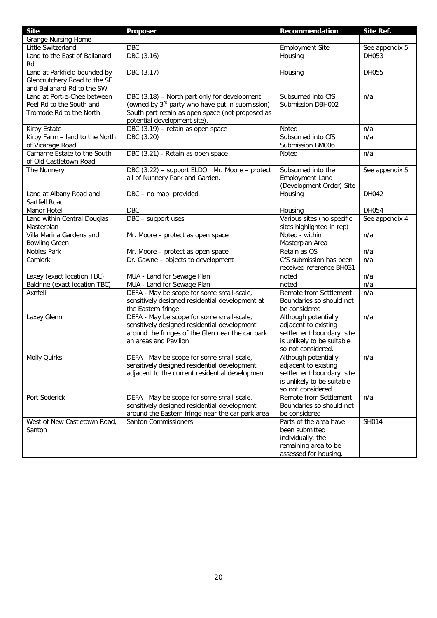| <b>Site</b>                                            | Proposer                                                                                  | Recommendation                                   | Site Ref.      |
|--------------------------------------------------------|-------------------------------------------------------------------------------------------|--------------------------------------------------|----------------|
| <b>Grange Nursing Home</b>                             |                                                                                           |                                                  |                |
| Little Switzerland                                     | <b>DBC</b>                                                                                | <b>Employment Site</b>                           | See appendix 5 |
| Land to the East of Ballanard                          | DBC (3.16)                                                                                | Housing                                          | DH053          |
| Rd.                                                    |                                                                                           |                                                  |                |
| Land at Parkfield bounded by                           | DBC (3.17)                                                                                | Housing                                          | DH055          |
| Glencrutchery Road to the SE                           |                                                                                           |                                                  |                |
| and Ballanard Rd to the SW                             |                                                                                           |                                                  |                |
| Land at Port-e-Chee between                            | DBC (3.18) - North part only for development                                              | Subsumed into CfS                                | n/a            |
| Peel Rd to the South and                               | (owned by 3 <sup>rd</sup> party who have put in submission).                              | Submission DBH002                                |                |
| Tromode Rd to the North                                | South part retain as open space (not proposed as                                          |                                                  |                |
|                                                        | potential development site).                                                              |                                                  |                |
| Kirby Estate                                           | DBC (3.19) - retain as open space                                                         | Noted                                            | n/a            |
| Kirby Farm - land to the North                         | DBC (3.20)                                                                                | Subsumed into CfS                                | n/a            |
| of Vicarage Road                                       |                                                                                           | Submission BM006                                 |                |
| Carnarne Estate to the South<br>of Old Castletown Road | DBC (3.21) - Retain as open space                                                         | Noted                                            | n/a            |
| The Nunnery                                            | DBC (3.22) - support ELDO. Mr. Moore - protect                                            | Subsumed into the                                | See appendix 5 |
|                                                        | all of Nunnery Park and Garden.                                                           | <b>Employment Land</b>                           |                |
|                                                        |                                                                                           | (Development Order) Site                         |                |
| Land at Albany Road and<br>Sartfell Road               | DBC - no map provided.                                                                    | Housing                                          | DH042          |
| Manor Hotel                                            | <b>DBC</b>                                                                                | Housing                                          | DH054          |
| Land within Central Douglas                            | DBC - support uses                                                                        | Various sites (no specific                       | See appendix 4 |
| Masterplan                                             |                                                                                           | sites highlighted in rep)                        |                |
| Villa Marina Gardens and                               | Mr. Moore - protect as open space                                                         | Noted - within                                   | n/a            |
| <b>Bowling Green</b>                                   |                                                                                           | Masterplan Area                                  |                |
| Nobles Park                                            | Mr. Moore - protect as open space                                                         | Retain as OS                                     | n/a            |
| Camlork                                                | Dr. Gawne - objects to development                                                        | CfS submission has been                          | n/a            |
|                                                        |                                                                                           | received reference BH031                         |                |
| Laxey (exact location TBC)                             | MUA - Land for Sewage Plan                                                                | noted                                            | n/a            |
| Baldrine (exact location TBC)                          | MUA - Land for Sewage Plan                                                                | noted                                            | n/a            |
| Axnfell                                                | DEFA - May be scope for some small-scale,                                                 | Remote from Settlement                           | n/a            |
|                                                        | sensitively designed residential development at                                           | Boundaries so should not                         |                |
|                                                        | the Eastern fringe                                                                        | be considered                                    |                |
| Laxey Glenn                                            | DEFA - May be scope for some small-scale,                                                 | Although potentially                             | n/a            |
|                                                        | sensitively designed residential development                                              | adjacent to existing                             |                |
|                                                        | around the fringes of the Glen near the car park                                          | settlement boundary, site                        |                |
|                                                        | an areas and Pavilion                                                                     | is unlikely to be suitable<br>so not considered. |                |
|                                                        |                                                                                           |                                                  |                |
| <b>Molly Quirks</b>                                    | DEFA - May be scope for some small-scale,<br>sensitively designed residential development | Although potentially<br>adjacent to existing     | n/a            |
|                                                        | adjacent to the current residential development                                           | settlement boundary, site                        |                |
|                                                        |                                                                                           | is unlikely to be suitable                       |                |
|                                                        |                                                                                           | so not considered.                               |                |
| Port Soderick                                          | DEFA - May be scope for some small-scale,                                                 | Remote from Settlement                           | n/a            |
|                                                        | sensitively designed residential development                                              | Boundaries so should not                         |                |
|                                                        | around the Eastern fringe near the car park area                                          | be considered                                    |                |
| West of New Castletown Road,                           | <b>Santon Commissioners</b>                                                               | Parts of the area have                           | SH014          |
| Santon                                                 |                                                                                           | been submitted                                   |                |
|                                                        |                                                                                           | individually, the                                |                |
|                                                        |                                                                                           | remaining area to be                             |                |
|                                                        |                                                                                           | assessed for housing.                            |                |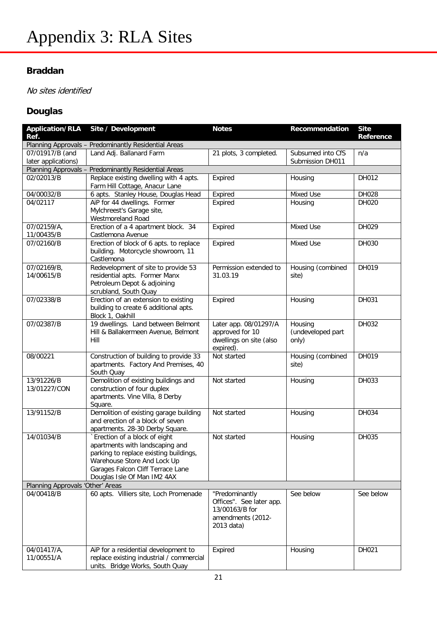### **Braddan**

No sites identified

### **Douglas**

| <b>Application/RLA</b><br>Ref.         | Site / Development                                                                                                                                                                                            | <b>Notes</b>                                                                                    | Recommendation                        | <b>Site</b><br>Reference |
|----------------------------------------|---------------------------------------------------------------------------------------------------------------------------------------------------------------------------------------------------------------|-------------------------------------------------------------------------------------------------|---------------------------------------|--------------------------|
|                                        | Planning Approvals - Predominantly Residential Areas                                                                                                                                                          |                                                                                                 |                                       |                          |
| 07/01917/B (and<br>later applications) | Land Adj. Ballanard Farm                                                                                                                                                                                      | 21 plots, 3 completed.                                                                          | Subsumed into CfS<br>Submission DH011 | n/a                      |
|                                        | Planning Approvals - Predominantly Residential Areas                                                                                                                                                          |                                                                                                 |                                       |                          |
| 02/02013/B                             | Replace existing dwelling with 4 apts.<br>Farm Hill Cottage, Anacur Lane                                                                                                                                      | Expired                                                                                         | Housing                               | DH012                    |
| 04/00032/B                             | 6 apts. Stanley House, Douglas Head                                                                                                                                                                           | Expired                                                                                         | Mixed Use                             | DH028                    |
| 04/02117                               | AiP for 44 dwellings. Former<br>Mylchreest's Garage site,<br>Westmoreland Road                                                                                                                                | Expired                                                                                         | Housing                               | DH020                    |
| 07/02159/A,<br>11/00435/B              | Erection of a 4 apartment block. 34<br>Castlemona Avenue                                                                                                                                                      | Expired                                                                                         | Mixed Use                             | DH029                    |
| 07/02160/B                             | Erection of block of 6 apts. to replace<br>building. Motorcycle showroom, 11<br>Castlemona                                                                                                                    | Expired                                                                                         | Mixed Use                             | DH030                    |
| 07/02169/B,<br>14/00615/B              | Redevelopment of site to provide 53<br>residential apts. Former Manx<br>Petroleum Depot & adjoining<br>scrubland, South Quay                                                                                  | Permission extended to<br>31.03.19                                                              | Housing (combined<br>site)            | DH019                    |
| 07/02338/B                             | Erection of an extension to existing<br>building to create 6 additional apts.<br>Block 1, Oakhill                                                                                                             | Expired                                                                                         | Housing                               | DH031                    |
| 07/02387/B                             | 19 dwellings. Land between Belmont<br>Hill & Ballakermeen Avenue, Belmont<br>Hill                                                                                                                             | Later app. 08/01297/A<br>approved for 10<br>dwellings on site (also<br>expired).                | Housing<br>(undeveloped part<br>only) | DH032                    |
| 08/00221                               | Construction of building to provide 33<br>apartments. Factory And Premises, 40<br>South Quay                                                                                                                  | Not started                                                                                     | Housing (combined<br>site)            | DH019                    |
| 13/91226/B<br>13/01227/CON             | Demolition of existing buildings and<br>construction of four duplex<br>apartments. Vine Villa, 8 Derby<br>Square.                                                                                             | Not started                                                                                     | Housing                               | DH033                    |
| 13/91152/B                             | Demolition of existing garage building<br>and erection of a block of seven<br>apartments. 28-30 Derby Square.                                                                                                 | Not started                                                                                     | Housing                               | DH034                    |
| 14/01034/B                             | `Erection of a block of eight<br>apartments with landscaping and<br>parking to replace existing buildings,<br>Warehouse Store And Lock Up<br>Garages Falcon Cliff Terrace Lane<br>Douglas Isle Of Man IM2 4AX | Not started                                                                                     | Housing                               | DH035                    |
| Planning Approvals 'Other' Areas       |                                                                                                                                                                                                               |                                                                                                 |                                       |                          |
| 04/00418/B                             | 60 apts. Villiers site, Loch Promenade                                                                                                                                                                        | "Predominantly<br>Offices". See later app.<br>13/00163/B for<br>amendments (2012-<br>2013 data) | See below                             | See below                |
| 04/01417/A,<br>11/00551/A              | AiP for a residential development to<br>replace existing industrial / commercial<br>units. Bridge Works, South Quay                                                                                           | Expired                                                                                         | Housing                               | DH021                    |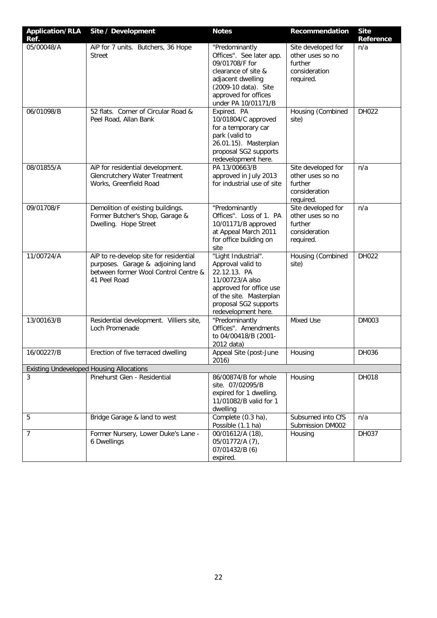| <b>Application/RLA</b><br>Ref. | Site / Development                                                                                                                  | <b>Notes</b>                                                                                                                                                                      | Recommendation                                                                  | <b>Site</b><br>Reference |
|--------------------------------|-------------------------------------------------------------------------------------------------------------------------------------|-----------------------------------------------------------------------------------------------------------------------------------------------------------------------------------|---------------------------------------------------------------------------------|--------------------------|
| 05/00048/A                     | AiP for 7 units. Butchers, 36 Hope<br><b>Street</b>                                                                                 | "Predominantly<br>Offices". See later app.<br>09/01708/F for<br>clearance of site &<br>adjacent dwelling<br>(2009-10 data). Site<br>approved for offices<br>under PA 10/01171/B   | Site developed for<br>other uses so no<br>further<br>consideration<br>required. | n/a                      |
| 06/01098/B                     | 52 flats. Corner of Circular Road &<br>Peel Road, Allan Bank                                                                        | Expired. PA<br>10/01804/C approved<br>for a temporary car<br>park (valid to<br>26.01.15). Masterplan<br>proposal SG2 supports<br>redevelopment here.                              | Housing (Combined<br>site)                                                      | DH022                    |
| 08/01855/A                     | AiP for residential development.<br>Glencrutchery Water Treatment<br>Works, Greenfield Road                                         | PA 13/00663/B<br>approved in July 2013<br>for industrial use of site                                                                                                              | Site developed for<br>other uses so no<br>further<br>consideration<br>required. | n/a                      |
| 09/01708/F                     | Demolition of existing buildings.<br>Former Butcher's Shop, Garage &<br>Dwelling. Hope Street                                       | "Predominantly<br>Offices". Loss of 1. PA<br>10/01171/B approved<br>at Appeal March 2011<br>for office building on<br>site                                                        | Site developed for<br>other uses so no<br>further<br>consideration<br>required. | n/a                      |
| 11/00724/A                     | AiP to re-develop site for residential<br>purposes. Garage & adjoining land<br>between former Wool Control Centre &<br>41 Peel Road | "Light Industrial".<br>Approval valid to<br>22.12.13. PA<br>11/00723/A also<br>approved for office use<br>of the site. Masterplan<br>proposal SG2 supports<br>redevelopment here. | Housing (Combined<br>site)                                                      | DH022                    |
| 13/00163/B                     | Residential development. Villiers site,<br>Loch Promenade                                                                           | "Predominantly<br>Offices". Amendments<br>to 04/00418/B (2001-<br>2012 data)                                                                                                      | Mixed Use                                                                       | DM003                    |
| 16/00227/B                     | Erection of five terraced dwelling                                                                                                  | Appeal Site (post-June<br>2016)                                                                                                                                                   | Housing                                                                         | DH036                    |
|                                | <b>Existing Undeveloped Housing Allocations</b>                                                                                     |                                                                                                                                                                                   |                                                                                 |                          |
| 3                              | Pinehurst Glen - Residential                                                                                                        | 86/00874/B for whole<br>site. 07/02095/B<br>expired for 1 dwelling.<br>11/01082/B valid for 1<br>dwelling                                                                         | Housing                                                                         | DH018                    |
| 5                              | Bridge Garage & land to west                                                                                                        | Complete (0.3 ha),<br>Possible (1.1 ha)                                                                                                                                           | Subsumed into CfS<br>Submission DM002                                           | n/a                      |
| $\overline{7}$                 | Former Nursery, Lower Duke's Lane -<br>6 Dwellings                                                                                  | 00/01612/A (18),<br>05/01772/A (7),<br>07/01432/B (6)<br>expired.                                                                                                                 | Housing                                                                         | DH037                    |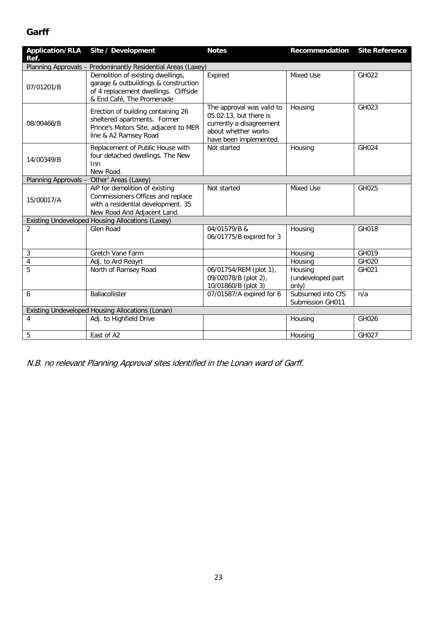#### **Garff**

| <b>Application/RLA</b><br>Ref.                               | Site / Development                                                                                                                              | <b>Notes</b>                                                                                                                     | Recommendation                        | <b>Site Reference</b> |  |
|--------------------------------------------------------------|-------------------------------------------------------------------------------------------------------------------------------------------------|----------------------------------------------------------------------------------------------------------------------------------|---------------------------------------|-----------------------|--|
| Planning Approvals - Predominantly Residential Areas (Laxey) |                                                                                                                                                 |                                                                                                                                  |                                       |                       |  |
| 07/01201/B                                                   | Demolition of existing dwellings,<br>garage & outbuildings & construction<br>of 4 replacement dwellings. Cliffside<br>& End Café, The Promenade | Expired                                                                                                                          | Mixed Use                             | GH022                 |  |
| 08/00466/B                                                   | Erection of building containing 26<br>sheltered apartments. Former<br>Prince's Motors Site, adjacent to MER<br>line & A2 Ramsey Road            | The approval was valid to<br>05.02.13, but there is<br>currently a disagreement<br>about whether works<br>have been implemented. | Housing                               | GH023                 |  |
| 14/00349/B                                                   | Replacement of Public House with<br>four detached dwellings. The New<br>Inn<br>New Road.                                                        | Not started                                                                                                                      | Housing                               | GH024                 |  |
|                                                              | Planning Approvals - 'Other' Areas (Laxey)                                                                                                      |                                                                                                                                  |                                       |                       |  |
| 15/00017/A                                                   | AiP for demolition of existing<br>Commissioners Offices and replace<br>with a residential development. 35<br>New Road And Adjacent Land.        | Not started                                                                                                                      | Mixed Use                             | GH025                 |  |
|                                                              | Existing Undeveloped Housing Allocations (Laxey)                                                                                                |                                                                                                                                  |                                       |                       |  |
| $\overline{2}$                                               | Glen Road                                                                                                                                       | 04/01579/B &<br>06/01775/B expired for 3                                                                                         | Housing                               | GH018                 |  |
| 3                                                            | Gretch Vane Farm                                                                                                                                |                                                                                                                                  | Housing                               | GH019                 |  |
| $\overline{4}$                                               | Adj. to Ard Reayrt                                                                                                                              |                                                                                                                                  | Housing                               | GH020                 |  |
| 5                                                            | North of Ramsey Road                                                                                                                            | 06/01754/REM (plot 1),<br>09/02078/B (plot 2),<br>10/01860/B (plot 3)                                                            | Housing<br>(undeveloped part<br>only) | GH021                 |  |
| 6                                                            | Ballacollister                                                                                                                                  | 07/01587/A expired for 6                                                                                                         | Subsumed into CfS<br>Submission GH011 | n/a                   |  |
| Existing Undeveloped Housing Allocations (Lonan)             |                                                                                                                                                 |                                                                                                                                  |                                       |                       |  |
| 4                                                            | Adj. to Highfield Drive                                                                                                                         |                                                                                                                                  | Housing                               | GH026                 |  |
| 5                                                            | East of A2                                                                                                                                      |                                                                                                                                  | Housing                               | GH027                 |  |

N.B. no relevant Planning Approval sites identified in the Lonan ward of Garff.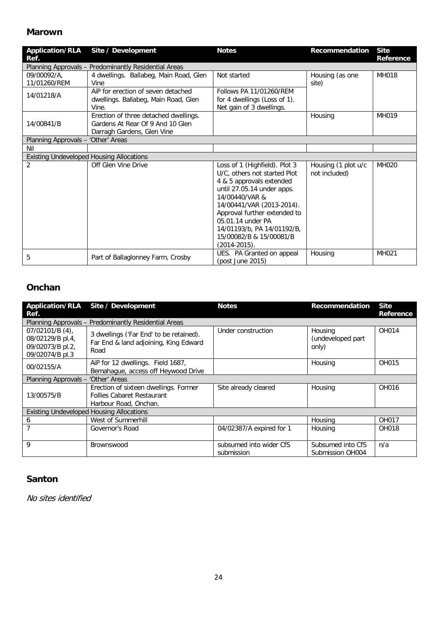#### **Marown**

| <b>Application/RLA</b><br>Ref.     | Site / Development                                                                                      | <b>Notes</b>                                                                                                                                                                                                                                                                                              | <b>Recommendation</b>                | <b>Site</b><br>Reference |
|------------------------------------|---------------------------------------------------------------------------------------------------------|-----------------------------------------------------------------------------------------------------------------------------------------------------------------------------------------------------------------------------------------------------------------------------------------------------------|--------------------------------------|--------------------------|
|                                    | Planning Approvals - Predominantly Residential Areas                                                    |                                                                                                                                                                                                                                                                                                           |                                      |                          |
| 09/00092/A,<br>11/01260/REM        | 4 dwellings. Ballabeg, Main Road, Glen<br>Vine                                                          | Not started                                                                                                                                                                                                                                                                                               | Housing (as one<br>site)             | <b>MH018</b>             |
| 14/01218/A                         | AiP for erection of seven detached<br>dwellings. Ballabeg, Main Road, Glen<br>Vine.                     | Follows PA 11/01260/RFM<br>for 4 dwellings (Loss of 1).<br>Net gain of 3 dwellings.                                                                                                                                                                                                                       |                                      |                          |
| 14/00841/B                         | Erection of three detached dwellings.<br>Gardens At Rear Of 9 And 10 Glen<br>Darragh Gardens, Glen Vine |                                                                                                                                                                                                                                                                                                           | Housing                              | MH019                    |
| Planning Approvals - 'Other' Areas |                                                                                                         |                                                                                                                                                                                                                                                                                                           |                                      |                          |
| Nil                                |                                                                                                         |                                                                                                                                                                                                                                                                                                           |                                      |                          |
|                                    | <b>Existing Undeveloped Housing Allocations</b>                                                         |                                                                                                                                                                                                                                                                                                           |                                      |                          |
| $\overline{2}$                     | Off Glen Vine Drive                                                                                     | Loss of 1 (Highfield). Plot 3<br>U/C, others not started Plot<br>4 & 5 approvals extended<br>until 27.05.14 under apps.<br>14/00440/VAR &<br>14/00441/VAR (2013-2014).<br>Approval further extended to<br>05.01.14 under PA<br>14/01193/b, PA 14/01192/B,<br>15/00082/B & 15/00081/B<br>$(2014 - 2015)$ . | Housing (1 plot u/c<br>not included) | MH020                    |
| 5                                  | Part of Ballaglonney Farm, Crosby                                                                       | UES. PA Granted on appeal<br>(post June 2015)                                                                                                                                                                                                                                                             | Housing                              | MH021                    |

#### **Onchan**

| Ref.                                                                         | Application/RLA Site / Development                                                                  | <b>Notes</b>                          | Recommendation                        | <b>Site</b><br>Reference |
|------------------------------------------------------------------------------|-----------------------------------------------------------------------------------------------------|---------------------------------------|---------------------------------------|--------------------------|
|                                                                              | Planning Approvals - Predominantly Residential Areas                                                |                                       |                                       |                          |
| $07/02101/B$ (4),<br>08/02129/B pl.4,<br>09/02073/B pl.2,<br>09/02074/B pl.3 | 3 dwellings ('Far End' to be retained).<br>Far End & land adjoining, King Edward<br>Road            | Under construction                    | Housing<br>(undeveloped part<br>only) | OH014                    |
| 00/02155/A                                                                   | AiP for 12 dwellings. Field 1687,<br>Bemahague, access off Heywood Drive                            |                                       | Housing                               | OH015                    |
| Planning Approvals - 'Other' Areas                                           |                                                                                                     |                                       |                                       |                          |
| 13/00575/B                                                                   | Erection of sixteen dwellings. Former<br><b>Follies Cabaret Restaurant</b><br>Harbour Road, Onchan. | Site already cleared                  | Housing                               | OH016                    |
| <b>Existing Undeveloped Housing Allocations</b>                              |                                                                                                     |                                       |                                       |                          |
| 6                                                                            | West of Summerhill                                                                                  |                                       | Housing                               | OH017                    |
| 7                                                                            | Governor's Road                                                                                     | 04/02387/A expired for 1              | Housing                               | <b>OH018</b>             |
| 9                                                                            | Brownswood                                                                                          | subsumed into wider CfS<br>submission | Subsumed into CfS<br>Submission OH004 | n/a                      |

#### **Santon**

No sites identified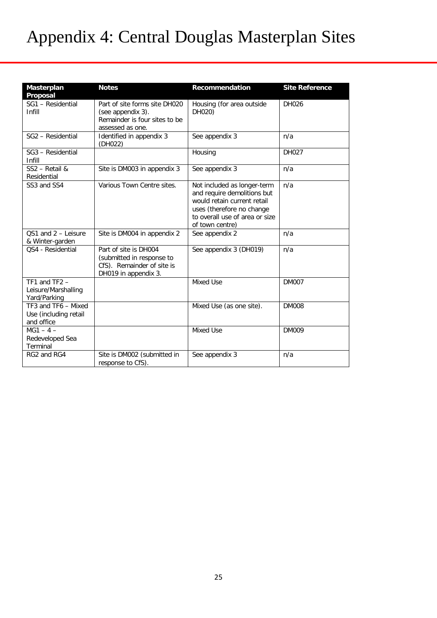# Appendix 4: Central Douglas Masterplan Sites

| Masterplan<br>Proposal                                     | <b>Notes</b>                                                                                             | Recommendation                                                                                                                                                              | <b>Site Reference</b> |
|------------------------------------------------------------|----------------------------------------------------------------------------------------------------------|-----------------------------------------------------------------------------------------------------------------------------------------------------------------------------|-----------------------|
| SG1 - Residential<br>Infill                                | Part of site forms site DH020<br>(see appendix 3).<br>Remainder is four sites to be<br>assessed as one.  | Housing (for area outside<br>DH020)                                                                                                                                         | DH026                 |
| SG2 - Residential                                          | Identified in appendix 3<br>(DH022)                                                                      | See appendix 3                                                                                                                                                              | n/a                   |
| SG3 - Residential<br>Infill                                |                                                                                                          | Housing                                                                                                                                                                     | DH027                 |
| SS2 - Retail &<br>Residential                              | Site is DM003 in appendix 3                                                                              | See appendix 3                                                                                                                                                              | n/a                   |
| SS3 and SS4                                                | Various Town Centre sites.                                                                               | Not included as longer-term<br>and require demolitions but<br>would retain current retail<br>uses (therefore no change<br>to overall use of area or size<br>of town centre) | n/a                   |
| OS1 and 2 - Leisure<br>& Winter-garden                     | Site is DM004 in appendix 2                                                                              | See appendix 2                                                                                                                                                              | n/a                   |
| QS4 - Residential                                          | Part of site is DH004<br>(submitted in response to<br>CfS). Remainder of site is<br>DH019 in appendix 3. | See appendix 3 (DH019)                                                                                                                                                      | n/a                   |
| TF1 and $TF2 -$<br>Leisure/Marshalling<br>Yard/Parking     |                                                                                                          | Mixed Use                                                                                                                                                                   | <b>DM007</b>          |
| TF3 and TF6 - Mixed<br>Use (including retail<br>and office |                                                                                                          | Mixed Use (as one site).                                                                                                                                                    | <b>DM008</b>          |
| $MG1 - 4 -$<br>Redeveloped Sea<br>Terminal                 |                                                                                                          | Mixed Use                                                                                                                                                                   | <b>DM009</b>          |
| RG2 and RG4                                                | Site is DM002 (submitted in<br>response to CfS).                                                         | See appendix 3                                                                                                                                                              | n/a                   |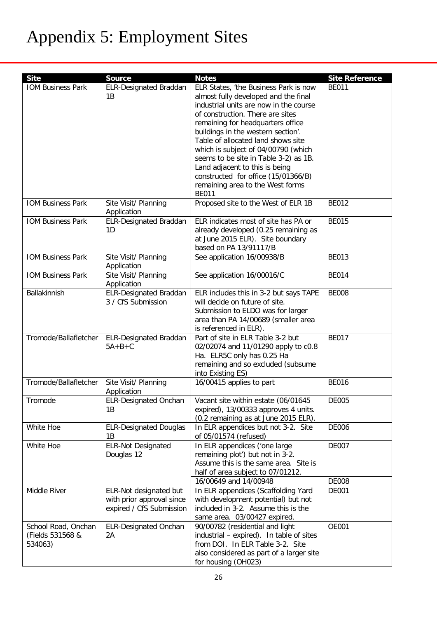# Appendix 5: Employment Sites

| <b>Site</b>              | <b>Source</b>                             | <b>Notes</b>                                                                   | <b>Site Reference</b> |
|--------------------------|-------------------------------------------|--------------------------------------------------------------------------------|-----------------------|
| <b>IOM Business Park</b> | <b>ELR-Designated Braddan</b><br>1B       | ELR States, 'the Business Park is now                                          | <b>BE011</b>          |
|                          |                                           | almost fully developed and the final<br>industrial units are now in the course |                       |
|                          |                                           | of construction. There are sites                                               |                       |
|                          |                                           | remaining for headquarters office                                              |                       |
|                          |                                           | buildings in the western section'.                                             |                       |
|                          |                                           | Table of allocated land shows site                                             |                       |
|                          |                                           | which is subject of 04/00790 (which                                            |                       |
|                          |                                           | seems to be site in Table 3-2) as 1B.                                          |                       |
|                          |                                           | Land adjacent to this is being                                                 |                       |
|                          |                                           | constructed for office (15/01366/B)                                            |                       |
|                          |                                           | remaining area to the West forms                                               |                       |
|                          |                                           | <b>BE011</b>                                                                   |                       |
| <b>IOM Business Park</b> | Site Visit/ Planning                      | Proposed site to the West of ELR 1B                                            | <b>BE012</b>          |
|                          | Application                               |                                                                                |                       |
| <b>IOM Business Park</b> | <b>ELR-Designated Braddan</b>             | ELR indicates most of site has PA or                                           | <b>BE015</b>          |
|                          | 1D                                        | already developed (0.25 remaining as                                           |                       |
|                          |                                           | at June 2015 ELR). Site boundary                                               |                       |
|                          |                                           | based on PA 13/91117/B                                                         |                       |
| <b>IOM Business Park</b> | Site Visit/ Planning                      | See application 16/00938/B                                                     | <b>BE013</b>          |
|                          | Application                               |                                                                                |                       |
| <b>IOM Business Park</b> | Site Visit/ Planning                      | See application 16/00016/C                                                     | <b>BE014</b>          |
|                          | Application                               |                                                                                |                       |
| Ballakinnish             | <b>ELR-Designated Braddan</b>             | ELR includes this in 3-2 but says TAPE                                         | <b>BE008</b>          |
|                          | 3 / CfS Submission                        | will decide on future of site.                                                 |                       |
|                          |                                           | Submission to ELDO was for larger                                              |                       |
|                          |                                           | area than PA 14/00689 (smaller area                                            |                       |
|                          |                                           | is referenced in ELR).                                                         | <b>BE017</b>          |
| Tromode/Ballafletcher    | <b>ELR-Designated Braddan</b><br>$5A+B+C$ | Part of site in ELR Table 3-2 but                                              |                       |
|                          |                                           | 02/02074 and 11/01290 apply to c0.8<br>Ha. ELR5C only has 0.25 Ha              |                       |
|                          |                                           | remaining and so excluded (subsume                                             |                       |
|                          |                                           | into Existing ES)                                                              |                       |
| Tromode/Ballafletcher    | Site Visit/ Planning                      | 16/00415 applies to part                                                       | <b>BE016</b>          |
|                          | Application                               |                                                                                |                       |
| Tromode                  | <b>ELR-Designated Onchan</b>              | Vacant site within estate (06/01645                                            | <b>DE005</b>          |
|                          | 1B                                        | expired), 13/00333 approves 4 units.                                           |                       |
|                          |                                           | (0.2 remaining as at June 2015 ELR).                                           |                       |
| White Hoe                | <b>ELR-Designated Douglas</b>             | In ELR appendices but not 3-2. Site                                            | <b>DE006</b>          |
|                          | 1B                                        | of 05/01574 (refused)                                                          |                       |
| White Hoe                | <b>ELR-Not Designated</b>                 | In ELR appendices ('one large                                                  | <b>DE007</b>          |
|                          | Douglas 12                                | remaining plot') but not in 3-2.                                               |                       |
|                          |                                           | Assume this is the same area. Site is                                          |                       |
|                          |                                           | half of area subject to 07/01212.                                              |                       |
|                          |                                           | 16/00649 and 14/00948                                                          | <b>DE008</b>          |
| Middle River             | ELR-Not designated but                    | In ELR appendices (Scaffolding Yard                                            | <b>DE001</b>          |
|                          | with prior approval since                 | with development potential) but not                                            |                       |
|                          | expired / CfS Submission                  | included in 3-2. Assume this is the                                            |                       |
|                          |                                           | same area. 03/00427 expired.                                                   |                       |
| School Road, Onchan      | <b>ELR-Designated Onchan</b>              | 90/00782 (residential and light                                                | <b>OE001</b>          |
| (Fields 531568 &         | 2A                                        | industrial - expired). In table of sites                                       |                       |
| 534063)                  |                                           | from DOI. In ELR Table 3-2. Site                                               |                       |
|                          |                                           | also considered as part of a larger site                                       |                       |
|                          |                                           | for housing (OH023)                                                            |                       |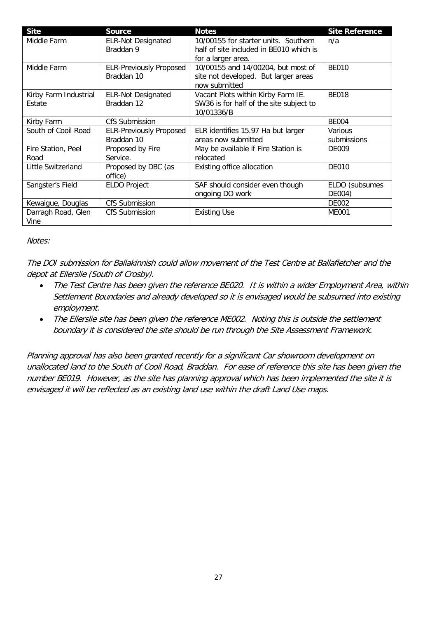| <b>Site</b>           | <b>Source</b>                  | <b>Notes</b>                            | <b>Site Reference</b> |
|-----------------------|--------------------------------|-----------------------------------------|-----------------------|
| Middle Farm           | <b>ELR-Not Designated</b>      | 10/00155 for starter units. Southern    | n/a                   |
|                       | Braddan 9                      | half of site included in BE010 which is |                       |
|                       |                                | for a larger area.                      |                       |
| Middle Farm           | <b>ELR-Previously Proposed</b> | 10/00155 and 14/00204, but most of      | <b>BE010</b>          |
|                       | Braddan 10                     | site not developed. But larger areas    |                       |
|                       |                                | now submitted                           |                       |
| Kirby Farm Industrial | <b>ELR-Not Designated</b>      | Vacant Plots within Kirby Farm IE.      | <b>BE018</b>          |
| Estate                | Braddan 12                     | SW36 is for half of the site subject to |                       |
|                       |                                | 10/01336/B                              |                       |
| Kirby Farm            | CfS Submission                 |                                         | <b>BE004</b>          |
| South of Cooil Road   | <b>ELR-Previously Proposed</b> | ELR identifies 15.97 Ha but larger      | Various               |
|                       | Braddan 10                     | areas now submitted                     | submissions           |
| Fire Station, Peel    | Proposed by Fire               | May be available if Fire Station is     | DE009                 |
| Road                  | Service.                       | relocated                               |                       |
| Little Switzerland    | Proposed by DBC (as            | Existing office allocation              | <b>DE010</b>          |
|                       | office)                        |                                         |                       |
| Sangster's Field      | <b>ELDO Project</b>            | SAF should consider even though         | ELDO (subsumes        |
|                       |                                | ongoing DO work                         | DE004)                |
| Kewaigue, Douglas     | <b>CfS Submission</b>          |                                         | <b>DE002</b>          |
| Darragh Road, Glen    | CfS Submission                 | <b>Existing Use</b>                     | <b>ME001</b>          |
| Vine                  |                                |                                         |                       |

#### Notes:

The DOI submission for Ballakinnish could allow movement of the Test Centre at Ballafletcher and the depot at Ellerslie (South of Crosby).

- The Test Centre has been given the reference BE020. It is within a wider Employment Area, within Settlement Boundaries and already developed so it is envisaged would be subsumed into existing employment.
- The Ellerslie site has been given the reference ME002. Noting this is outside the settlement boundary it is considered the site should be run through the Site Assessment Framework.

Planning approval has also been granted recently for a significant Car showroom development on unallocated land to the South of Cooil Road, Braddan. For ease of reference this site has been given the number BE019. However, as the site has planning approval which has been implemented the site it is envisaged it will be reflected as an existing land use within the draft Land Use maps.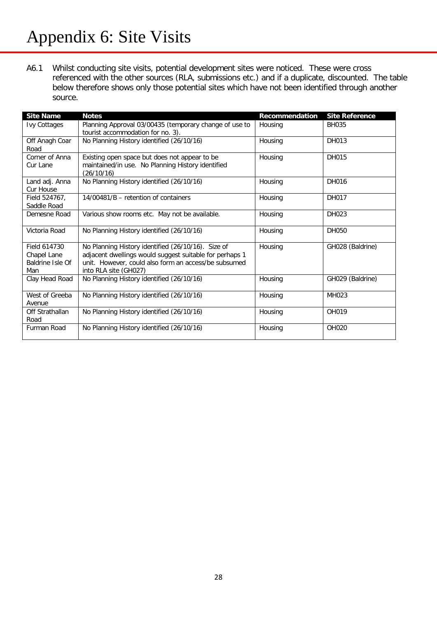## Appendix 6: Site Visits

A6.1 Whilst conducting site visits, potential development sites were noticed. These were cross referenced with the other sources (RLA, submissions etc.) and if a duplicate, discounted. The table below therefore shows only those potential sites which have not been identified through another source.

| <b>Site Name</b>                                       | <b>Notes</b>                                                                                                                                                                                   | <b>Recommendation</b> | <b>Site Reference</b> |
|--------------------------------------------------------|------------------------------------------------------------------------------------------------------------------------------------------------------------------------------------------------|-----------------------|-----------------------|
| <b>Ivy Cottages</b>                                    | Planning Approval 03/00435 (temporary change of use to<br>tourist accommodation for no. 3).                                                                                                    | Housing               | <b>BH035</b>          |
| Off Anagh Coar<br>Road                                 | No Planning History identified (26/10/16)                                                                                                                                                      | Housing               | DH013                 |
| Corner of Anna<br>Cur Lane                             | Existing open space but does not appear to be<br>maintained/in use. No Planning History identified<br>(26/10/16)                                                                               | Housing               | DH015                 |
| Land adj. Anna<br>Cur House                            | No Planning History identified (26/10/16)                                                                                                                                                      | Housing               | DH016                 |
| Field 524767,<br>Saddle Road                           | 14/00481/B - retention of containers                                                                                                                                                           | Housing               | DH017                 |
| Demesne Road                                           | Various show rooms etc. May not be available.                                                                                                                                                  | Housing               | DH023                 |
| Victoria Road                                          | No Planning History identified (26/10/16)                                                                                                                                                      | Housing               | DH050                 |
| Field 614730<br>Chapel Lane<br>Baldrine Isle Of<br>Man | No Planning History identified (26/10/16). Size of<br>adjacent dwellings would suggest suitable for perhaps 1<br>unit. However, could also form an access/be subsumed<br>into RLA site (GH027) | Housing               | GH028 (Baldrine)      |
| Clay Head Road                                         | No Planning History identified (26/10/16)                                                                                                                                                      | Housing               | GH029 (Baldrine)      |
| West of Greeba<br>Avenue                               | No Planning History identified (26/10/16)                                                                                                                                                      | Housing               | MH023                 |
| Off Strathallan<br>Road                                | No Planning History identified (26/10/16)                                                                                                                                                      | Housing               | OH019                 |
| Furman Road                                            | No Planning History identified (26/10/16)                                                                                                                                                      | Housing               | OH020                 |